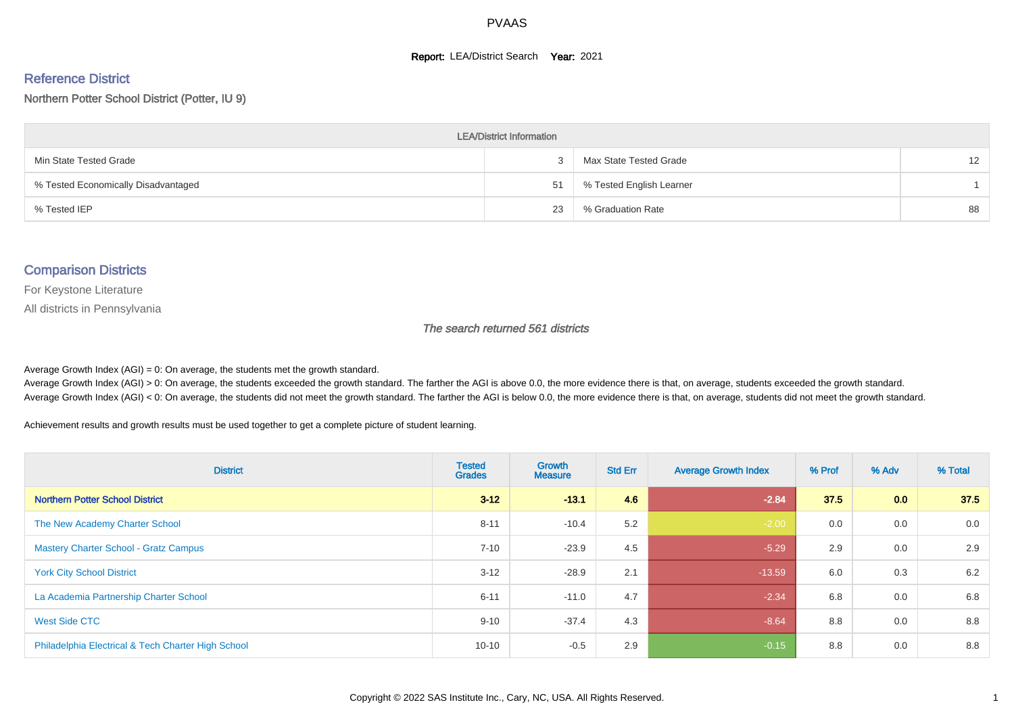#### **Report: LEA/District Search Year: 2021**

#### Reference District

Northern Potter School District (Potter, IU 9)

| <b>LEA/District Information</b>     |    |                          |                   |  |  |  |  |  |  |  |
|-------------------------------------|----|--------------------------|-------------------|--|--|--|--|--|--|--|
| Min State Tested Grade              |    | Max State Tested Grade   | $12 \overline{ }$ |  |  |  |  |  |  |  |
| % Tested Economically Disadvantaged | 51 | % Tested English Learner |                   |  |  |  |  |  |  |  |
| % Tested IEP                        | 23 | % Graduation Rate        | 88                |  |  |  |  |  |  |  |

#### Comparison Districts

For Keystone Literature

All districts in Pennsylvania

The search returned 561 districts

Average Growth Index  $(AGI) = 0$ : On average, the students met the growth standard.

Average Growth Index (AGI) > 0: On average, the students exceeded the growth standard. The farther the AGI is above 0.0, the more evidence there is that, on average, students exceeded the growth standard. Average Growth Index (AGI) < 0: On average, the students did not meet the growth standard. The farther the AGI is below 0.0, the more evidence there is that, on average, students did not meet the growth standard.

Achievement results and growth results must be used together to get a complete picture of student learning.

| <b>District</b>                                    | <b>Tested</b><br><b>Grades</b> | <b>Growth</b><br><b>Measure</b> | <b>Std Err</b> | <b>Average Growth Index</b> | % Prof | % Adv            | % Total |
|----------------------------------------------------|--------------------------------|---------------------------------|----------------|-----------------------------|--------|------------------|---------|
| <b>Northern Potter School District</b>             | $3 - 12$                       | $-13.1$                         | 4.6            | $-2.84$                     | 37.5   | 0.0 <sub>1</sub> | 37.5    |
| The New Academy Charter School                     | $8 - 11$                       | $-10.4$                         | 5.2            | $-2.00$                     | 0.0    | 0.0              | 0.0     |
| <b>Mastery Charter School - Gratz Campus</b>       | $7 - 10$                       | $-23.9$                         | 4.5            | $-5.29$                     | 2.9    | 0.0              | 2.9     |
| <b>York City School District</b>                   | $3 - 12$                       | $-28.9$                         | 2.1            | $-13.59$                    | 6.0    | 0.3              | 6.2     |
| La Academia Partnership Charter School             | $6 - 11$                       | $-11.0$                         | 4.7            | $-2.34$                     | 6.8    | 0.0              | 6.8     |
| West Side CTC                                      | $9 - 10$                       | $-37.4$                         | 4.3            | $-8.64$                     | 8.8    | 0.0              | 8.8     |
| Philadelphia Electrical & Tech Charter High School | $10 - 10$                      | $-0.5$                          | 2.9            | $-0.15$                     | 8.8    | 0.0              | 8.8     |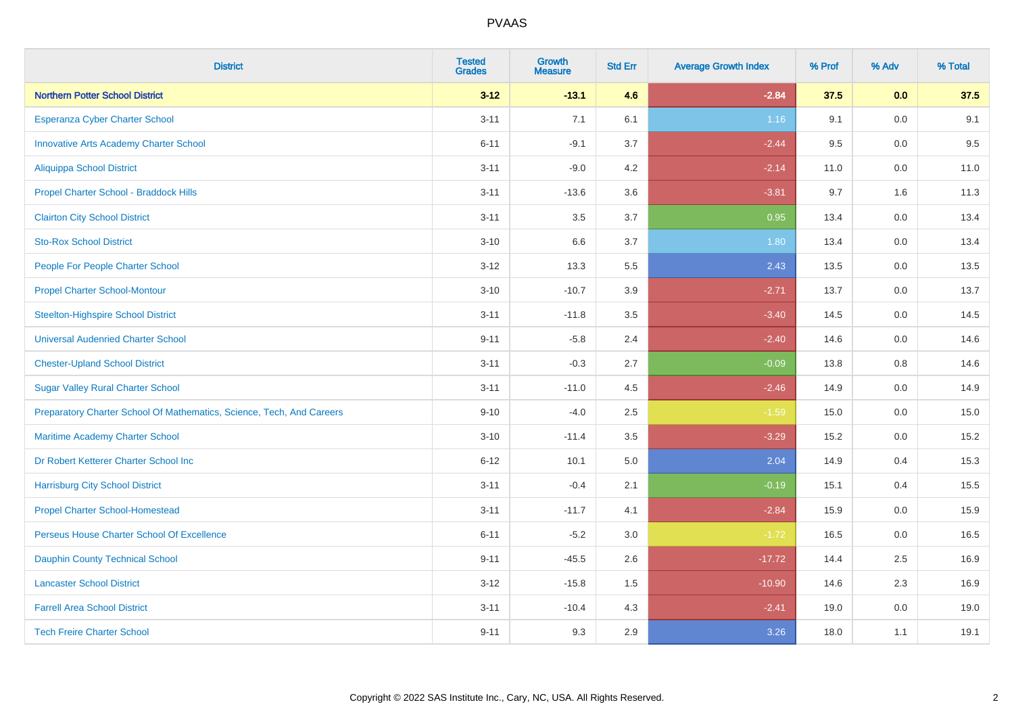| <b>District</b>                                                       | <b>Tested</b><br><b>Grades</b> | <b>Growth</b><br><b>Measure</b> | <b>Std Err</b> | <b>Average Growth Index</b> | % Prof | % Adv   | % Total |
|-----------------------------------------------------------------------|--------------------------------|---------------------------------|----------------|-----------------------------|--------|---------|---------|
| <b>Northern Potter School District</b>                                | $3 - 12$                       | $-13.1$                         | 4.6            | $-2.84$                     | 37.5   | 0.0     | 37.5    |
| Esperanza Cyber Charter School                                        | $3 - 11$                       | 7.1                             | 6.1            | 1.16                        | 9.1    | 0.0     | 9.1     |
| <b>Innovative Arts Academy Charter School</b>                         | $6 - 11$                       | $-9.1$                          | 3.7            | $-2.44$                     | 9.5    | 0.0     | 9.5     |
| <b>Aliquippa School District</b>                                      | $3 - 11$                       | $-9.0$                          | 4.2            | $-2.14$                     | 11.0   | $0.0\,$ | 11.0    |
| Propel Charter School - Braddock Hills                                | $3 - 11$                       | $-13.6$                         | 3.6            | $-3.81$                     | 9.7    | 1.6     | 11.3    |
| <b>Clairton City School District</b>                                  | $3 - 11$                       | 3.5                             | 3.7            | 0.95                        | 13.4   | 0.0     | 13.4    |
| <b>Sto-Rox School District</b>                                        | $3 - 10$                       | 6.6                             | 3.7            | 1.80                        | 13.4   | 0.0     | 13.4    |
| People For People Charter School                                      | $3 - 12$                       | 13.3                            | 5.5            | 2.43                        | 13.5   | 0.0     | 13.5    |
| <b>Propel Charter School-Montour</b>                                  | $3 - 10$                       | $-10.7$                         | 3.9            | $-2.71$                     | 13.7   | 0.0     | 13.7    |
| <b>Steelton-Highspire School District</b>                             | $3 - 11$                       | $-11.8$                         | 3.5            | $-3.40$                     | 14.5   | 0.0     | 14.5    |
| <b>Universal Audenried Charter School</b>                             | $9 - 11$                       | $-5.8$                          | 2.4            | $-2.40$                     | 14.6   | 0.0     | 14.6    |
| <b>Chester-Upland School District</b>                                 | $3 - 11$                       | $-0.3$                          | 2.7            | $-0.09$                     | 13.8   | 0.8     | 14.6    |
| <b>Sugar Valley Rural Charter School</b>                              | $3 - 11$                       | $-11.0$                         | 4.5            | $-2.46$                     | 14.9   | 0.0     | 14.9    |
| Preparatory Charter School Of Mathematics, Science, Tech, And Careers | $9 - 10$                       | $-4.0$                          | 2.5            | $-1.59$                     | 15.0   | $0.0\,$ | 15.0    |
| Maritime Academy Charter School                                       | $3 - 10$                       | $-11.4$                         | 3.5            | $-3.29$                     | 15.2   | 0.0     | 15.2    |
| Dr Robert Ketterer Charter School Inc                                 | $6 - 12$                       | 10.1                            | 5.0            | 2.04                        | 14.9   | 0.4     | 15.3    |
| <b>Harrisburg City School District</b>                                | $3 - 11$                       | $-0.4$                          | 2.1            | $-0.19$                     | 15.1   | 0.4     | 15.5    |
| <b>Propel Charter School-Homestead</b>                                | $3 - 11$                       | $-11.7$                         | 4.1            | $-2.84$                     | 15.9   | 0.0     | 15.9    |
| Perseus House Charter School Of Excellence                            | $6 - 11$                       | $-5.2$                          | 3.0            | $-1.72$                     | 16.5   | $0.0\,$ | 16.5    |
| <b>Dauphin County Technical School</b>                                | $9 - 11$                       | $-45.5$                         | 2.6            | $-17.72$                    | 14.4   | 2.5     | 16.9    |
| <b>Lancaster School District</b>                                      | $3 - 12$                       | $-15.8$                         | 1.5            | $-10.90$                    | 14.6   | 2.3     | 16.9    |
| <b>Farrell Area School District</b>                                   | $3 - 11$                       | $-10.4$                         | 4.3            | $-2.41$                     | 19.0   | $0.0\,$ | 19.0    |
| <b>Tech Freire Charter School</b>                                     | $9 - 11$                       | 9.3                             | 2.9            | 3.26                        | 18.0   | 1.1     | 19.1    |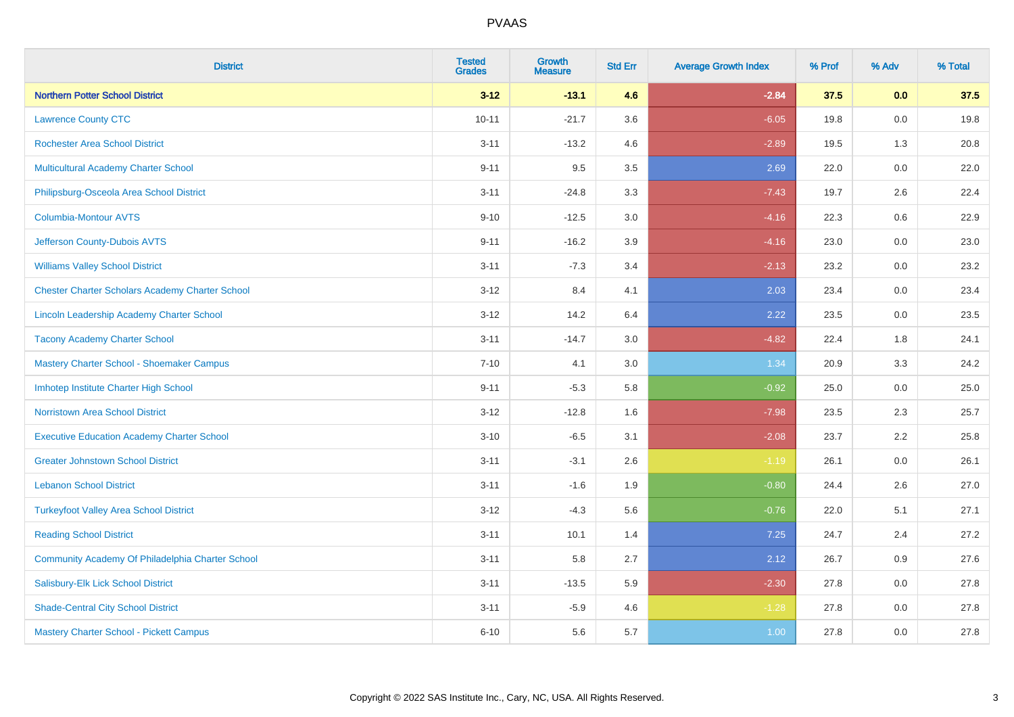| <b>District</b>                                        | <b>Tested</b><br><b>Grades</b> | <b>Growth</b><br><b>Measure</b> | <b>Std Err</b> | <b>Average Growth Index</b> | % Prof | % Adv   | % Total |
|--------------------------------------------------------|--------------------------------|---------------------------------|----------------|-----------------------------|--------|---------|---------|
| <b>Northern Potter School District</b>                 | $3 - 12$                       | $-13.1$                         | 4.6            | $-2.84$                     | 37.5   | 0.0     | 37.5    |
| <b>Lawrence County CTC</b>                             | $10 - 11$                      | $-21.7$                         | 3.6            | $-6.05$                     | 19.8   | $0.0\,$ | 19.8    |
| <b>Rochester Area School District</b>                  | $3 - 11$                       | $-13.2$                         | 4.6            | $-2.89$                     | 19.5   | 1.3     | 20.8    |
| Multicultural Academy Charter School                   | $9 - 11$                       | 9.5                             | 3.5            | 2.69                        | 22.0   | 0.0     | 22.0    |
| Philipsburg-Osceola Area School District               | $3 - 11$                       | $-24.8$                         | 3.3            | $-7.43$                     | 19.7   | 2.6     | 22.4    |
| <b>Columbia-Montour AVTS</b>                           | $9 - 10$                       | $-12.5$                         | 3.0            | $-4.16$                     | 22.3   | 0.6     | 22.9    |
| Jefferson County-Dubois AVTS                           | $9 - 11$                       | $-16.2$                         | 3.9            | $-4.16$                     | 23.0   | 0.0     | 23.0    |
| <b>Williams Valley School District</b>                 | $3 - 11$                       | $-7.3$                          | 3.4            | $-2.13$                     | 23.2   | 0.0     | 23.2    |
| <b>Chester Charter Scholars Academy Charter School</b> | $3 - 12$                       | 8.4                             | 4.1            | 2.03                        | 23.4   | 0.0     | 23.4    |
| Lincoln Leadership Academy Charter School              | $3 - 12$                       | 14.2                            | 6.4            | 2.22                        | 23.5   | 0.0     | 23.5    |
| <b>Tacony Academy Charter School</b>                   | $3 - 11$                       | $-14.7$                         | 3.0            | $-4.82$                     | 22.4   | 1.8     | 24.1    |
| Mastery Charter School - Shoemaker Campus              | $7 - 10$                       | 4.1                             | 3.0            | 1.34                        | 20.9   | 3.3     | 24.2    |
| Imhotep Institute Charter High School                  | $9 - 11$                       | $-5.3$                          | 5.8            | $-0.92$                     | 25.0   | $0.0\,$ | 25.0    |
| <b>Norristown Area School District</b>                 | $3 - 12$                       | $-12.8$                         | 1.6            | $-7.98$                     | 23.5   | 2.3     | 25.7    |
| <b>Executive Education Academy Charter School</b>      | $3 - 10$                       | $-6.5$                          | 3.1            | $-2.08$                     | 23.7   | 2.2     | 25.8    |
| <b>Greater Johnstown School District</b>               | $3 - 11$                       | $-3.1$                          | 2.6            | $-1.19$                     | 26.1   | $0.0\,$ | 26.1    |
| <b>Lebanon School District</b>                         | $3 - 11$                       | $-1.6$                          | 1.9            | $-0.80$                     | 24.4   | 2.6     | 27.0    |
| <b>Turkeyfoot Valley Area School District</b>          | $3 - 12$                       | $-4.3$                          | 5.6            | $-0.76$                     | 22.0   | 5.1     | 27.1    |
| <b>Reading School District</b>                         | $3 - 11$                       | 10.1                            | 1.4            | 7.25                        | 24.7   | 2.4     | 27.2    |
| Community Academy Of Philadelphia Charter School       | $3 - 11$                       | 5.8                             | 2.7            | 2.12                        | 26.7   | 0.9     | 27.6    |
| Salisbury-Elk Lick School District                     | $3 - 11$                       | $-13.5$                         | 5.9            | $-2.30$                     | 27.8   | 0.0     | 27.8    |
| <b>Shade-Central City School District</b>              | $3 - 11$                       | $-5.9$                          | 4.6            | $-1.28$                     | 27.8   | 0.0     | 27.8    |
| Mastery Charter School - Pickett Campus                | $6 - 10$                       | 5.6                             | 5.7            | 1.00                        | 27.8   | 0.0     | 27.8    |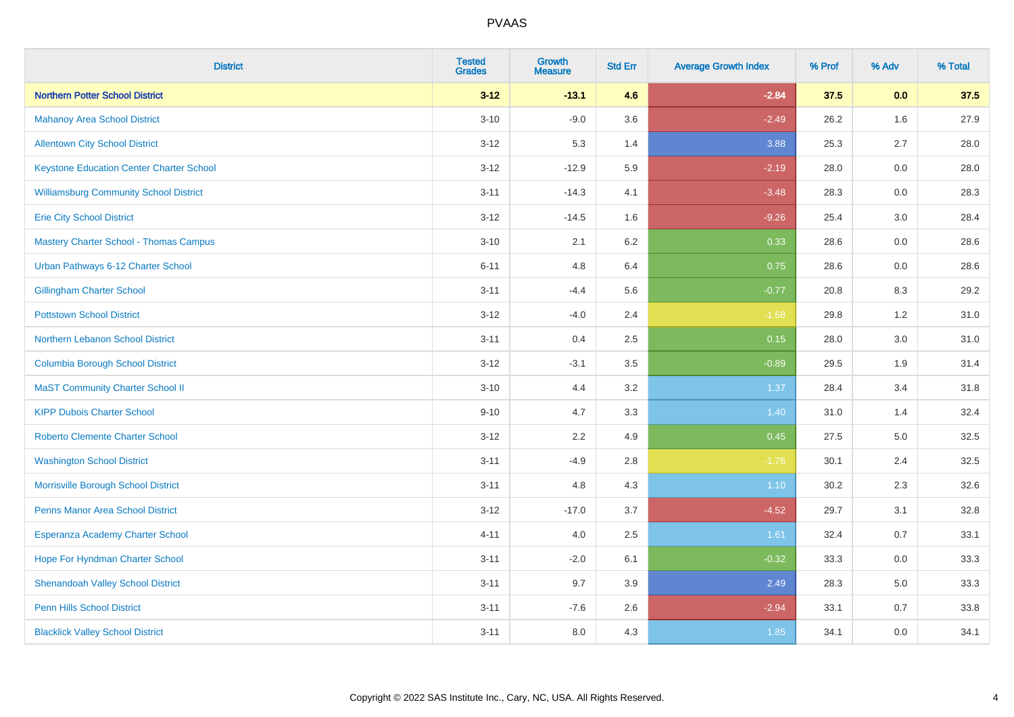| <b>District</b>                                 | <b>Tested</b><br><b>Grades</b> | <b>Growth</b><br><b>Measure</b> | <b>Std Err</b> | <b>Average Growth Index</b> | % Prof | % Adv   | % Total |
|-------------------------------------------------|--------------------------------|---------------------------------|----------------|-----------------------------|--------|---------|---------|
| <b>Northern Potter School District</b>          | $3 - 12$                       | $-13.1$                         | 4.6            | $-2.84$                     | 37.5   | 0.0     | 37.5    |
| <b>Mahanoy Area School District</b>             | $3 - 10$                       | $-9.0$                          | 3.6            | $-2.49$                     | 26.2   | 1.6     | 27.9    |
| <b>Allentown City School District</b>           | $3 - 12$                       | 5.3                             | 1.4            | 3.88                        | 25.3   | 2.7     | 28.0    |
| <b>Keystone Education Center Charter School</b> | $3 - 12$                       | $-12.9$                         | 5.9            | $-2.19$                     | 28.0   | $0.0\,$ | 28.0    |
| <b>Williamsburg Community School District</b>   | $3 - 11$                       | $-14.3$                         | 4.1            | $-3.48$                     | 28.3   | 0.0     | 28.3    |
| <b>Erie City School District</b>                | $3 - 12$                       | $-14.5$                         | 1.6            | $-9.26$                     | 25.4   | 3.0     | 28.4    |
| <b>Mastery Charter School - Thomas Campus</b>   | $3 - 10$                       | 2.1                             | 6.2            | 0.33                        | 28.6   | 0.0     | 28.6    |
| Urban Pathways 6-12 Charter School              | $6 - 11$                       | 4.8                             | 6.4            | 0.75                        | 28.6   | 0.0     | 28.6    |
| <b>Gillingham Charter School</b>                | $3 - 11$                       | $-4.4$                          | 5.6            | $-0.77$                     | 20.8   | 8.3     | 29.2    |
| <b>Pottstown School District</b>                | $3 - 12$                       | $-4.0$                          | 2.4            | $-1.68$                     | 29.8   | 1.2     | 31.0    |
| Northern Lebanon School District                | $3 - 11$                       | 0.4                             | 2.5            | 0.15                        | 28.0   | 3.0     | 31.0    |
| <b>Columbia Borough School District</b>         | $3 - 12$                       | $-3.1$                          | 3.5            | $-0.89$                     | 29.5   | 1.9     | 31.4    |
| <b>MaST Community Charter School II</b>         | $3 - 10$                       | 4.4                             | 3.2            | 1.37                        | 28.4   | 3.4     | 31.8    |
| <b>KIPP Dubois Charter School</b>               | $9 - 10$                       | 4.7                             | 3.3            | 1.40                        | 31.0   | 1.4     | 32.4    |
| <b>Roberto Clemente Charter School</b>          | $3 - 12$                       | 2.2                             | 4.9            | 0.45                        | 27.5   | $5.0\,$ | 32.5    |
| <b>Washington School District</b>               | $3 - 11$                       | $-4.9$                          | 2.8            | $-1.76$                     | 30.1   | 2.4     | 32.5    |
| Morrisville Borough School District             | $3 - 11$                       | 4.8                             | 4.3            | $1.10$                      | 30.2   | 2.3     | 32.6    |
| <b>Penns Manor Area School District</b>         | $3 - 12$                       | $-17.0$                         | 3.7            | $-4.52$                     | 29.7   | 3.1     | 32.8    |
| Esperanza Academy Charter School                | $4 - 11$                       | 4.0                             | 2.5            | 1.61                        | 32.4   | 0.7     | 33.1    |
| Hope For Hyndman Charter School                 | $3 - 11$                       | $-2.0$                          | 6.1            | $-0.32$                     | 33.3   | 0.0     | 33.3    |
| <b>Shenandoah Valley School District</b>        | $3 - 11$                       | 9.7                             | 3.9            | 2.49                        | 28.3   | 5.0     | 33.3    |
| <b>Penn Hills School District</b>               | $3 - 11$                       | $-7.6$                          | 2.6            | $-2.94$                     | 33.1   | 0.7     | 33.8    |
| <b>Blacklick Valley School District</b>         | $3 - 11$                       | 8.0                             | 4.3            | 1.85                        | 34.1   | 0.0     | 34.1    |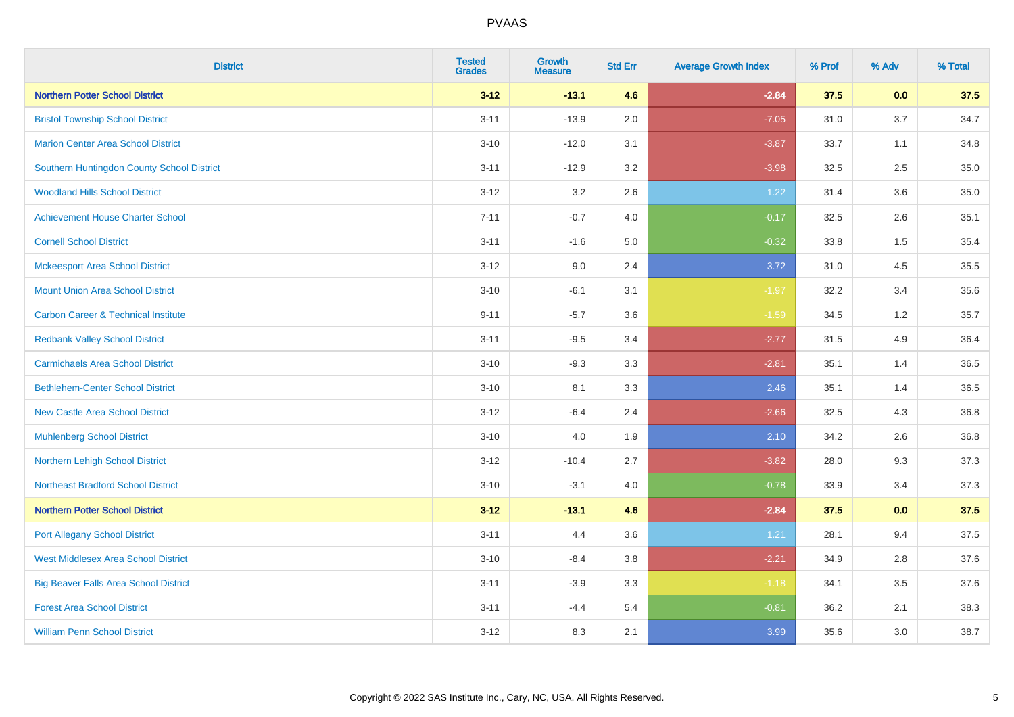| <b>District</b>                                | <b>Tested</b><br><b>Grades</b> | <b>Growth</b><br><b>Measure</b> | <b>Std Err</b> | <b>Average Growth Index</b> | % Prof | % Adv | % Total |
|------------------------------------------------|--------------------------------|---------------------------------|----------------|-----------------------------|--------|-------|---------|
| <b>Northern Potter School District</b>         | $3 - 12$                       | $-13.1$                         | 4.6            | $-2.84$                     | 37.5   | 0.0   | 37.5    |
| <b>Bristol Township School District</b>        | $3 - 11$                       | $-13.9$                         | 2.0            | $-7.05$                     | 31.0   | 3.7   | 34.7    |
| <b>Marion Center Area School District</b>      | $3 - 10$                       | $-12.0$                         | 3.1            | $-3.87$                     | 33.7   | 1.1   | 34.8    |
| Southern Huntingdon County School District     | $3 - 11$                       | $-12.9$                         | 3.2            | $-3.98$                     | 32.5   | 2.5   | 35.0    |
| <b>Woodland Hills School District</b>          | $3 - 12$                       | 3.2                             | 2.6            | 1.22                        | 31.4   | 3.6   | 35.0    |
| <b>Achievement House Charter School</b>        | $7 - 11$                       | $-0.7$                          | 4.0            | $-0.17$                     | 32.5   | 2.6   | 35.1    |
| <b>Cornell School District</b>                 | $3 - 11$                       | $-1.6$                          | 5.0            | $-0.32$                     | 33.8   | 1.5   | 35.4    |
| <b>Mckeesport Area School District</b>         | $3 - 12$                       | 9.0                             | 2.4            | 3.72                        | 31.0   | 4.5   | 35.5    |
| <b>Mount Union Area School District</b>        | $3 - 10$                       | $-6.1$                          | 3.1            | $-1.97$                     | 32.2   | 3.4   | 35.6    |
| <b>Carbon Career &amp; Technical Institute</b> | $9 - 11$                       | $-5.7$                          | 3.6            | $-1.59$                     | 34.5   | 1.2   | 35.7    |
| <b>Redbank Valley School District</b>          | $3 - 11$                       | $-9.5$                          | 3.4            | $-2.77$                     | 31.5   | 4.9   | 36.4    |
| <b>Carmichaels Area School District</b>        | $3 - 10$                       | $-9.3$                          | 3.3            | $-2.81$                     | 35.1   | 1.4   | 36.5    |
| <b>Bethlehem-Center School District</b>        | $3 - 10$                       | 8.1                             | 3.3            | 2.46                        | 35.1   | 1.4   | 36.5    |
| <b>New Castle Area School District</b>         | $3 - 12$                       | $-6.4$                          | 2.4            | $-2.66$                     | 32.5   | 4.3   | 36.8    |
| <b>Muhlenberg School District</b>              | $3 - 10$                       | 4.0                             | 1.9            | 2.10                        | 34.2   | 2.6   | 36.8    |
| Northern Lehigh School District                | $3 - 12$                       | $-10.4$                         | 2.7            | $-3.82$                     | 28.0   | 9.3   | 37.3    |
| <b>Northeast Bradford School District</b>      | $3 - 10$                       | $-3.1$                          | 4.0            | $-0.78$                     | 33.9   | 3.4   | 37.3    |
| <b>Northern Potter School District</b>         | $3 - 12$                       | $-13.1$                         | 4.6            | $-2.84$                     | 37.5   | 0.0   | 37.5    |
| <b>Port Allegany School District</b>           | $3 - 11$                       | 4.4                             | 3.6            | 1.21                        | 28.1   | 9.4   | 37.5    |
| <b>West Middlesex Area School District</b>     | $3 - 10$                       | $-8.4$                          | 3.8            | $-2.21$                     | 34.9   | 2.8   | 37.6    |
| <b>Big Beaver Falls Area School District</b>   | $3 - 11$                       | $-3.9$                          | 3.3            | $-1.18$                     | 34.1   | 3.5   | 37.6    |
| <b>Forest Area School District</b>             | $3 - 11$                       | $-4.4$                          | 5.4            | $-0.81$                     | 36.2   | 2.1   | 38.3    |
| <b>William Penn School District</b>            | $3 - 12$                       | 8.3                             | 2.1            | 3.99                        | 35.6   | 3.0   | 38.7    |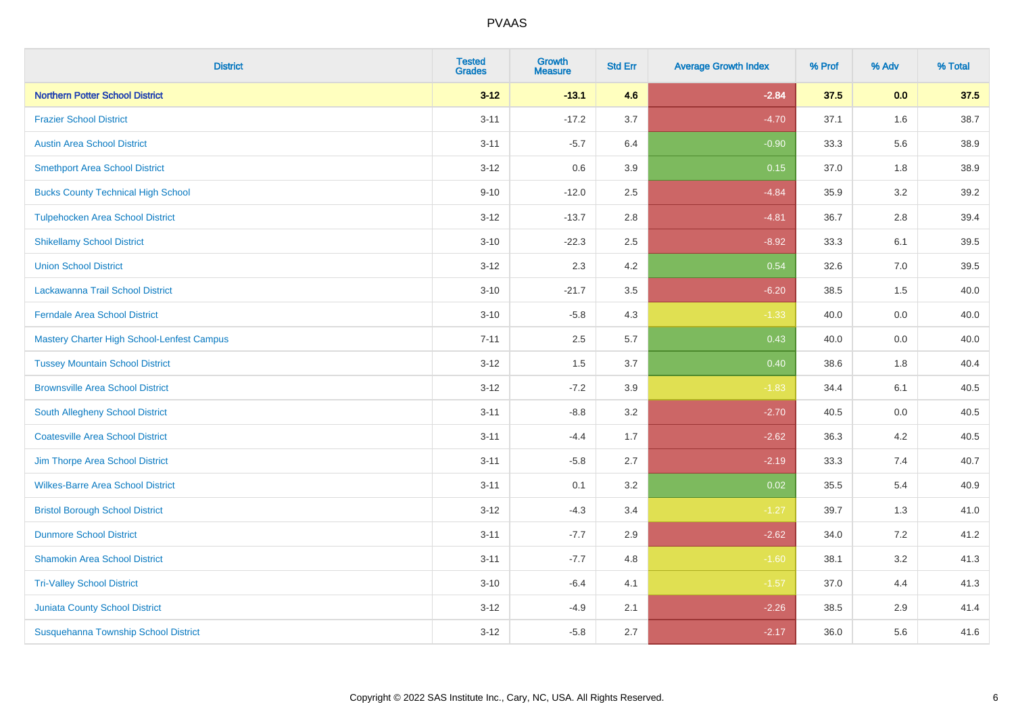| <b>District</b>                             | <b>Tested</b><br><b>Grades</b> | <b>Growth</b><br><b>Measure</b> | <b>Std Err</b> | <b>Average Growth Index</b> | % Prof | % Adv   | % Total |
|---------------------------------------------|--------------------------------|---------------------------------|----------------|-----------------------------|--------|---------|---------|
| <b>Northern Potter School District</b>      | $3 - 12$                       | $-13.1$                         | 4.6            | $-2.84$                     | 37.5   | 0.0     | 37.5    |
| <b>Frazier School District</b>              | $3 - 11$                       | $-17.2$                         | 3.7            | $-4.70$                     | 37.1   | 1.6     | 38.7    |
| <b>Austin Area School District</b>          | $3 - 11$                       | $-5.7$                          | 6.4            | $-0.90$                     | 33.3   | 5.6     | 38.9    |
| <b>Smethport Area School District</b>       | $3-12$                         | 0.6                             | 3.9            | 0.15                        | 37.0   | $1.8\,$ | 38.9    |
| <b>Bucks County Technical High School</b>   | $9 - 10$                       | $-12.0$                         | 2.5            | $-4.84$                     | 35.9   | 3.2     | 39.2    |
| <b>Tulpehocken Area School District</b>     | $3 - 12$                       | $-13.7$                         | 2.8            | $-4.81$                     | 36.7   | 2.8     | 39.4    |
| <b>Shikellamy School District</b>           | $3 - 10$                       | $-22.3$                         | 2.5            | $-8.92$                     | 33.3   | 6.1     | 39.5    |
| <b>Union School District</b>                | $3 - 12$                       | 2.3                             | 4.2            | 0.54                        | 32.6   | 7.0     | 39.5    |
| Lackawanna Trail School District            | $3 - 10$                       | $-21.7$                         | 3.5            | $-6.20$                     | 38.5   | 1.5     | 40.0    |
| <b>Ferndale Area School District</b>        | $3 - 10$                       | $-5.8$                          | 4.3            | $-1.33$                     | 40.0   | $0.0\,$ | 40.0    |
| Mastery Charter High School-Lenfest Campus  | $7 - 11$                       | 2.5                             | 5.7            | 0.43                        | 40.0   | 0.0     | 40.0    |
| <b>Tussey Mountain School District</b>      | $3 - 12$                       | 1.5                             | 3.7            | 0.40                        | 38.6   | 1.8     | 40.4    |
| <b>Brownsville Area School District</b>     | $3 - 12$                       | $-7.2$                          | 3.9            | $-1.83$                     | 34.4   | 6.1     | 40.5    |
| South Allegheny School District             | $3 - 11$                       | $-8.8$                          | 3.2            | $-2.70$                     | 40.5   | 0.0     | 40.5    |
| <b>Coatesville Area School District</b>     | $3 - 11$                       | $-4.4$                          | 1.7            | $-2.62$                     | 36.3   | 4.2     | 40.5    |
| Jim Thorpe Area School District             | $3 - 11$                       | $-5.8$                          | 2.7            | $-2.19$                     | 33.3   | 7.4     | 40.7    |
| <b>Wilkes-Barre Area School District</b>    | $3 - 11$                       | 0.1                             | 3.2            | 0.02                        | 35.5   | 5.4     | 40.9    |
| <b>Bristol Borough School District</b>      | $3 - 12$                       | $-4.3$                          | 3.4            | $-1.27$                     | 39.7   | 1.3     | 41.0    |
| <b>Dunmore School District</b>              | $3 - 11$                       | $-7.7$                          | 2.9            | $-2.62$                     | 34.0   | 7.2     | 41.2    |
| <b>Shamokin Area School District</b>        | $3 - 11$                       | $-7.7$                          | 4.8            | $-1.60$                     | 38.1   | 3.2     | 41.3    |
| <b>Tri-Valley School District</b>           | $3 - 10$                       | $-6.4$                          | 4.1            | $-1.57$                     | 37.0   | 4.4     | 41.3    |
| <b>Juniata County School District</b>       | $3 - 12$                       | $-4.9$                          | 2.1            | $-2.26$                     | 38.5   | 2.9     | 41.4    |
| <b>Susquehanna Township School District</b> | $3 - 12$                       | $-5.8$                          | 2.7            | $-2.17$                     | 36.0   | 5.6     | 41.6    |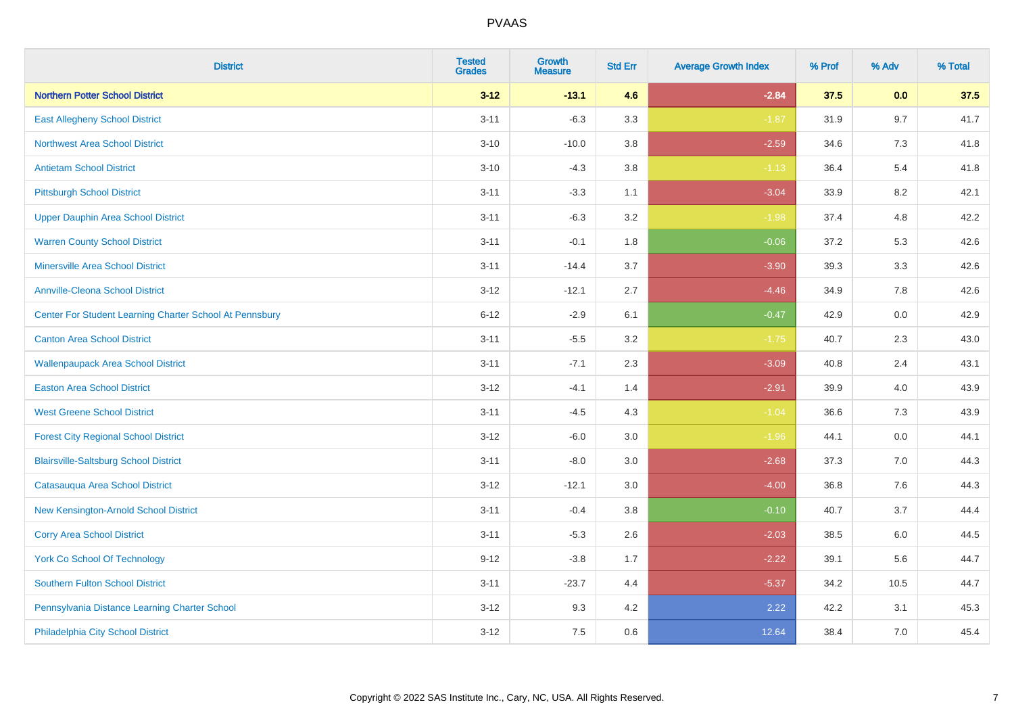| <b>District</b>                                         | <b>Tested</b><br><b>Grades</b> | <b>Growth</b><br><b>Measure</b> | <b>Std Err</b> | <b>Average Growth Index</b> | % Prof | % Adv   | % Total |
|---------------------------------------------------------|--------------------------------|---------------------------------|----------------|-----------------------------|--------|---------|---------|
| <b>Northern Potter School District</b>                  | $3 - 12$                       | $-13.1$                         | 4.6            | $-2.84$                     | 37.5   | 0.0     | 37.5    |
| <b>East Allegheny School District</b>                   | $3 - 11$                       | $-6.3$                          | 3.3            | $-1.87$                     | 31.9   | 9.7     | 41.7    |
| <b>Northwest Area School District</b>                   | $3 - 10$                       | $-10.0$                         | 3.8            | $-2.59$                     | 34.6   | 7.3     | 41.8    |
| <b>Antietam School District</b>                         | $3 - 10$                       | $-4.3$                          | $3.8\,$        | $-1.13$                     | 36.4   | 5.4     | 41.8    |
| <b>Pittsburgh School District</b>                       | $3 - 11$                       | $-3.3$                          | 1.1            | $-3.04$                     | 33.9   | 8.2     | 42.1    |
| <b>Upper Dauphin Area School District</b>               | $3 - 11$                       | $-6.3$                          | 3.2            | $-1.98$                     | 37.4   | 4.8     | 42.2    |
| <b>Warren County School District</b>                    | $3 - 11$                       | $-0.1$                          | 1.8            | $-0.06$                     | 37.2   | 5.3     | 42.6    |
| <b>Minersville Area School District</b>                 | $3 - 11$                       | $-14.4$                         | 3.7            | $-3.90$                     | 39.3   | 3.3     | 42.6    |
| <b>Annville-Cleona School District</b>                  | $3 - 12$                       | $-12.1$                         | 2.7            | $-4.46$                     | 34.9   | 7.8     | 42.6    |
| Center For Student Learning Charter School At Pennsbury | $6 - 12$                       | $-2.9$                          | 6.1            | $-0.47$                     | 42.9   | 0.0     | 42.9    |
| <b>Canton Area School District</b>                      | $3 - 11$                       | $-5.5$                          | 3.2            | $-1.75$                     | 40.7   | 2.3     | 43.0    |
| <b>Wallenpaupack Area School District</b>               | $3 - 11$                       | $-7.1$                          | 2.3            | $-3.09$                     | 40.8   | 2.4     | 43.1    |
| <b>Easton Area School District</b>                      | $3 - 12$                       | $-4.1$                          | 1.4            | $-2.91$                     | 39.9   | 4.0     | 43.9    |
| <b>West Greene School District</b>                      | $3 - 11$                       | $-4.5$                          | 4.3            | $-1.04$                     | 36.6   | 7.3     | 43.9    |
| <b>Forest City Regional School District</b>             | $3 - 12$                       | $-6.0$                          | 3.0            | $-1.96$                     | 44.1   | 0.0     | 44.1    |
| <b>Blairsville-Saltsburg School District</b>            | $3 - 11$                       | $-8.0$                          | 3.0            | $-2.68$                     | 37.3   | $7.0\,$ | 44.3    |
| Catasauqua Area School District                         | $3 - 12$                       | $-12.1$                         | 3.0            | $-4.00$                     | 36.8   | 7.6     | 44.3    |
| New Kensington-Arnold School District                   | $3 - 11$                       | $-0.4$                          | 3.8            | $-0.10$                     | 40.7   | 3.7     | 44.4    |
| <b>Corry Area School District</b>                       | $3 - 11$                       | $-5.3$                          | 2.6            | $-2.03$                     | 38.5   | 6.0     | 44.5    |
| York Co School Of Technology                            | $9 - 12$                       | $-3.8$                          | 1.7            | $-2.22$                     | 39.1   | 5.6     | 44.7    |
| <b>Southern Fulton School District</b>                  | $3 - 11$                       | $-23.7$                         | 4.4            | $-5.37$                     | 34.2   | 10.5    | 44.7    |
| Pennsylvania Distance Learning Charter School           | $3 - 12$                       | 9.3                             | 4.2            | 2.22                        | 42.2   | 3.1     | 45.3    |
| Philadelphia City School District                       | $3 - 12$                       | 7.5                             | 0.6            | 12.64                       | 38.4   | 7.0     | 45.4    |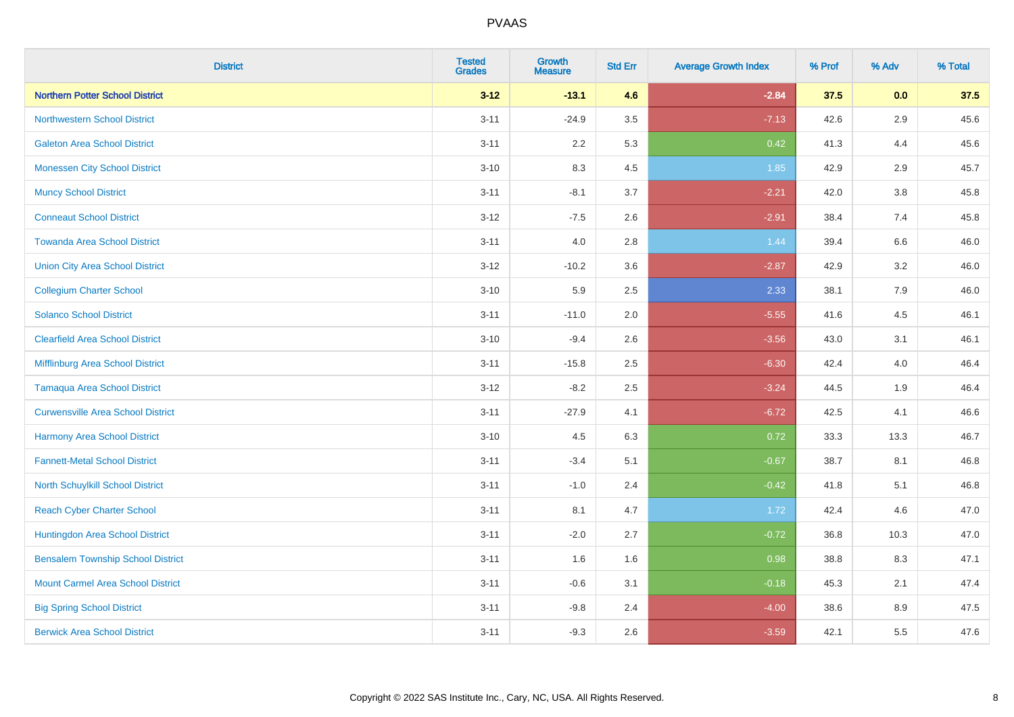| <b>District</b>                          | <b>Tested</b><br>Grades | <b>Growth</b><br><b>Measure</b> | <b>Std Err</b> | <b>Average Growth Index</b> | % Prof | % Adv   | % Total |
|------------------------------------------|-------------------------|---------------------------------|----------------|-----------------------------|--------|---------|---------|
| <b>Northern Potter School District</b>   | $3 - 12$                | $-13.1$                         | 4.6            | $-2.84$                     | 37.5   | 0.0     | 37.5    |
| <b>Northwestern School District</b>      | $3 - 11$                | $-24.9$                         | $3.5\,$        | $-7.13$                     | 42.6   | $2.9\,$ | 45.6    |
| <b>Galeton Area School District</b>      | $3 - 11$                | 2.2                             | 5.3            | 0.42                        | 41.3   | 4.4     | 45.6    |
| <b>Monessen City School District</b>     | $3 - 10$                | 8.3                             | 4.5            | 1.85                        | 42.9   | 2.9     | 45.7    |
| <b>Muncy School District</b>             | $3 - 11$                | $-8.1$                          | 3.7            | $-2.21$                     | 42.0   | 3.8     | 45.8    |
| <b>Conneaut School District</b>          | $3 - 12$                | $-7.5$                          | 2.6            | $-2.91$                     | 38.4   | 7.4     | 45.8    |
| <b>Towanda Area School District</b>      | $3 - 11$                | 4.0                             | 2.8            | 1.44                        | 39.4   | 6.6     | 46.0    |
| <b>Union City Area School District</b>   | $3 - 12$                | $-10.2$                         | 3.6            | $-2.87$                     | 42.9   | 3.2     | 46.0    |
| <b>Collegium Charter School</b>          | $3 - 10$                | 5.9                             | 2.5            | 2.33                        | 38.1   | 7.9     | 46.0    |
| <b>Solanco School District</b>           | $3 - 11$                | $-11.0$                         | 2.0            | $-5.55$                     | 41.6   | 4.5     | 46.1    |
| <b>Clearfield Area School District</b>   | $3 - 10$                | $-9.4$                          | 2.6            | $-3.56$                     | 43.0   | 3.1     | 46.1    |
| Mifflinburg Area School District         | $3 - 11$                | $-15.8$                         | 2.5            | $-6.30$                     | 42.4   | 4.0     | 46.4    |
| <b>Tamaqua Area School District</b>      | $3-12$                  | $-8.2$                          | 2.5            | $-3.24$                     | 44.5   | $1.9$   | 46.4    |
| <b>Curwensville Area School District</b> | $3 - 11$                | $-27.9$                         | 4.1            | $-6.72$                     | 42.5   | 4.1     | 46.6    |
| Harmony Area School District             | $3 - 10$                | 4.5                             | 6.3            | 0.72                        | 33.3   | 13.3    | 46.7    |
| <b>Fannett-Metal School District</b>     | $3 - 11$                | $-3.4$                          | 5.1            | $-0.67$                     | 38.7   | 8.1     | 46.8    |
| North Schuylkill School District         | $3 - 11$                | $-1.0$                          | 2.4            | $-0.42$                     | 41.8   | 5.1     | 46.8    |
| <b>Reach Cyber Charter School</b>        | $3 - 11$                | 8.1                             | 4.7            | 1.72                        | 42.4   | 4.6     | 47.0    |
| Huntingdon Area School District          | $3 - 11$                | $-2.0$                          | 2.7            | $-0.72$                     | 36.8   | 10.3    | 47.0    |
| <b>Bensalem Township School District</b> | $3 - 11$                | 1.6                             | 1.6            | 0.98                        | 38.8   | 8.3     | 47.1    |
| <b>Mount Carmel Area School District</b> | $3 - 11$                | $-0.6$                          | 3.1            | $-0.18$                     | 45.3   | 2.1     | 47.4    |
| <b>Big Spring School District</b>        | $3 - 11$                | $-9.8$                          | 2.4            | $-4.00$                     | 38.6   | 8.9     | 47.5    |
| <b>Berwick Area School District</b>      | $3 - 11$                | $-9.3$                          | 2.6            | $-3.59$                     | 42.1   | 5.5     | 47.6    |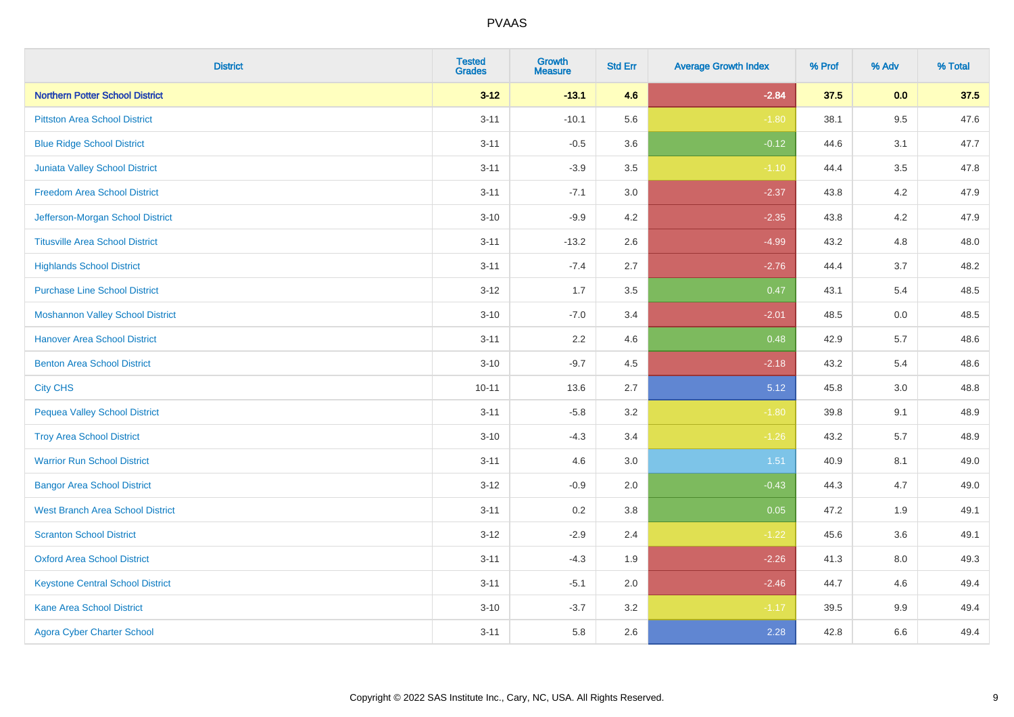| <b>District</b>                         | <b>Tested</b><br><b>Grades</b> | Growth<br><b>Measure</b> | <b>Std Err</b> | <b>Average Growth Index</b> | % Prof | % Adv   | % Total |
|-----------------------------------------|--------------------------------|--------------------------|----------------|-----------------------------|--------|---------|---------|
| <b>Northern Potter School District</b>  | $3 - 12$                       | $-13.1$                  | 4.6            | $-2.84$                     | 37.5   | 0.0     | 37.5    |
| <b>Pittston Area School District</b>    | $3 - 11$                       | $-10.1$                  | 5.6            | $-1.80$                     | 38.1   | $9.5\,$ | 47.6    |
| <b>Blue Ridge School District</b>       | $3 - 11$                       | $-0.5$                   | 3.6            | $-0.12$                     | 44.6   | 3.1     | 47.7    |
| <b>Juniata Valley School District</b>   | $3 - 11$                       | $-3.9$                   | 3.5            | $-1.10$                     | 44.4   | 3.5     | 47.8    |
| <b>Freedom Area School District</b>     | $3 - 11$                       | $-7.1$                   | 3.0            | $-2.37$                     | 43.8   | 4.2     | 47.9    |
| Jefferson-Morgan School District        | $3 - 10$                       | $-9.9$                   | 4.2            | $-2.35$                     | 43.8   | 4.2     | 47.9    |
| <b>Titusville Area School District</b>  | $3 - 11$                       | $-13.2$                  | 2.6            | $-4.99$                     | 43.2   | 4.8     | 48.0    |
| <b>Highlands School District</b>        | $3 - 11$                       | $-7.4$                   | 2.7            | $-2.76$                     | 44.4   | 3.7     | 48.2    |
| <b>Purchase Line School District</b>    | $3 - 12$                       | 1.7                      | 3.5            | 0.47                        | 43.1   | 5.4     | 48.5    |
| <b>Moshannon Valley School District</b> | $3 - 10$                       | $-7.0$                   | 3.4            | $-2.01$                     | 48.5   | 0.0     | 48.5    |
| <b>Hanover Area School District</b>     | $3 - 11$                       | 2.2                      | 4.6            | 0.48                        | 42.9   | 5.7     | 48.6    |
| <b>Benton Area School District</b>      | $3 - 10$                       | $-9.7$                   | 4.5            | $-2.18$                     | 43.2   | 5.4     | 48.6    |
| <b>City CHS</b>                         | $10 - 11$                      | 13.6                     | 2.7            | 5.12                        | 45.8   | 3.0     | 48.8    |
| <b>Pequea Valley School District</b>    | $3 - 11$                       | $-5.8$                   | 3.2            | $-1.80$                     | 39.8   | 9.1     | 48.9    |
| <b>Troy Area School District</b>        | $3 - 10$                       | $-4.3$                   | 3.4            | $-1.26$                     | 43.2   | 5.7     | 48.9    |
| <b>Warrior Run School District</b>      | $3 - 11$                       | 4.6                      | 3.0            | 1.51                        | 40.9   | 8.1     | 49.0    |
| <b>Bangor Area School District</b>      | $3 - 12$                       | $-0.9$                   | 2.0            | $-0.43$                     | 44.3   | 4.7     | 49.0    |
| <b>West Branch Area School District</b> | $3 - 11$                       | 0.2                      | 3.8            | 0.05                        | 47.2   | 1.9     | 49.1    |
| <b>Scranton School District</b>         | $3 - 12$                       | $-2.9$                   | 2.4            | $-1.22$                     | 45.6   | 3.6     | 49.1    |
| <b>Oxford Area School District</b>      | $3 - 11$                       | $-4.3$                   | 1.9            | $-2.26$                     | 41.3   | 8.0     | 49.3    |
| <b>Keystone Central School District</b> | $3 - 11$                       | $-5.1$                   | 2.0            | $-2.46$                     | 44.7   | 4.6     | 49.4    |
| Kane Area School District               | $3 - 10$                       | $-3.7$                   | 3.2            | $-1.17$                     | 39.5   | $9.9\,$ | 49.4    |
| <b>Agora Cyber Charter School</b>       | $3 - 11$                       | 5.8                      | 2.6            | 2.28                        | 42.8   | 6.6     | 49.4    |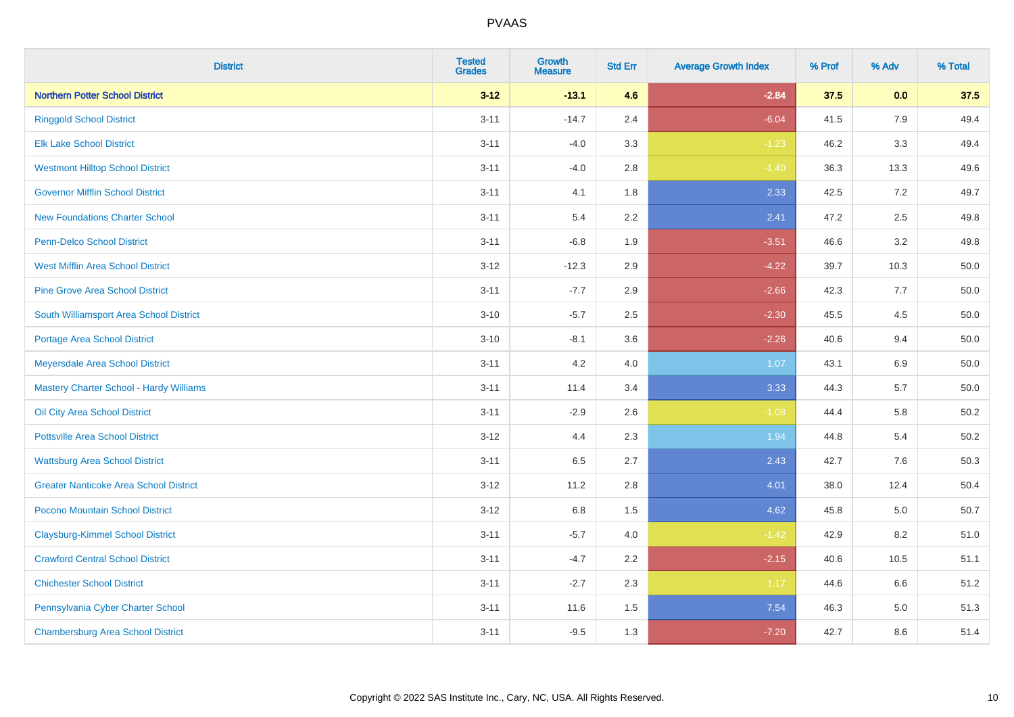| <b>District</b>                               | <b>Tested</b><br><b>Grades</b> | <b>Growth</b><br><b>Measure</b> | <b>Std Err</b> | <b>Average Growth Index</b> | % Prof | % Adv   | % Total  |
|-----------------------------------------------|--------------------------------|---------------------------------|----------------|-----------------------------|--------|---------|----------|
| <b>Northern Potter School District</b>        | $3 - 12$                       | $-13.1$                         | 4.6            | $-2.84$                     | 37.5   | 0.0     | 37.5     |
| <b>Ringgold School District</b>               | $3 - 11$                       | $-14.7$                         | 2.4            | $-6.04$                     | 41.5   | 7.9     | 49.4     |
| <b>Elk Lake School District</b>               | $3 - 11$                       | $-4.0$                          | 3.3            | $-1.23$                     | 46.2   | 3.3     | 49.4     |
| <b>Westmont Hilltop School District</b>       | $3 - 11$                       | $-4.0$                          | 2.8            | $-1.40$                     | 36.3   | 13.3    | 49.6     |
| <b>Governor Mifflin School District</b>       | $3 - 11$                       | 4.1                             | 1.8            | 2.33                        | 42.5   | 7.2     | 49.7     |
| <b>New Foundations Charter School</b>         | $3 - 11$                       | 5.4                             | 2.2            | 2.41                        | 47.2   | 2.5     | 49.8     |
| Penn-Delco School District                    | $3 - 11$                       | $-6.8$                          | 1.9            | $-3.51$                     | 46.6   | 3.2     | 49.8     |
| <b>West Mifflin Area School District</b>      | $3 - 12$                       | $-12.3$                         | 2.9            | $-4.22$                     | 39.7   | 10.3    | 50.0     |
| <b>Pine Grove Area School District</b>        | $3 - 11$                       | $-7.7$                          | 2.9            | $-2.66$                     | 42.3   | 7.7     | 50.0     |
| South Williamsport Area School District       | $3 - 10$                       | $-5.7$                          | 2.5            | $-2.30$                     | 45.5   | 4.5     | 50.0     |
| <b>Portage Area School District</b>           | $3 - 10$                       | $-8.1$                          | 3.6            | $-2.26$                     | 40.6   | 9.4     | 50.0     |
| Meyersdale Area School District               | $3 - 11$                       | 4.2                             | 4.0            | 1.07                        | 43.1   | 6.9     | 50.0     |
| Mastery Charter School - Hardy Williams       | $3 - 11$                       | 11.4                            | 3.4            | 3.33                        | 44.3   | 5.7     | $50.0\,$ |
| Oil City Area School District                 | $3 - 11$                       | $-2.9$                          | 2.6            | $-1.08$                     | 44.4   | 5.8     | 50.2     |
| <b>Pottsville Area School District</b>        | $3 - 12$                       | 4.4                             | 2.3            | 1.94                        | 44.8   | 5.4     | 50.2     |
| <b>Wattsburg Area School District</b>         | $3 - 11$                       | 6.5                             | 2.7            | 2.43                        | 42.7   | 7.6     | 50.3     |
| <b>Greater Nanticoke Area School District</b> | $3 - 12$                       | 11.2                            | 2.8            | 4.01                        | 38.0   | 12.4    | 50.4     |
| Pocono Mountain School District               | $3 - 12$                       | 6.8                             | 1.5            | 4.62                        | 45.8   | 5.0     | 50.7     |
| <b>Claysburg-Kimmel School District</b>       | $3 - 11$                       | $-5.7$                          | $4.0$          | $-1.42$                     | 42.9   | 8.2     | 51.0     |
| <b>Crawford Central School District</b>       | $3 - 11$                       | $-4.7$                          | 2.2            | $-2.15$                     | 40.6   | 10.5    | 51.1     |
| <b>Chichester School District</b>             | $3 - 11$                       | $-2.7$                          | 2.3            | $-1.17$                     | 44.6   | 6.6     | 51.2     |
| Pennsylvania Cyber Charter School             | $3 - 11$                       | 11.6                            | 1.5            | 7.54                        | 46.3   | $5.0\,$ | 51.3     |
| <b>Chambersburg Area School District</b>      | $3 - 11$                       | $-9.5$                          | 1.3            | $-7.20$                     | 42.7   | 8.6     | 51.4     |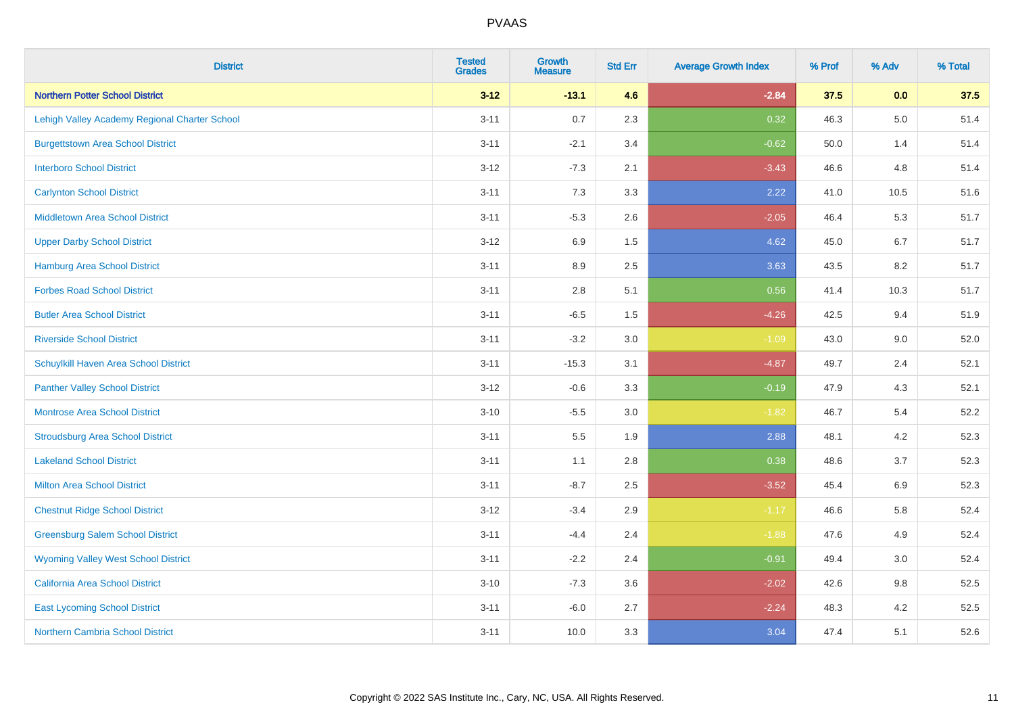| <b>District</b>                               | <b>Tested</b><br><b>Grades</b> | <b>Growth</b><br><b>Measure</b> | <b>Std Err</b> | <b>Average Growth Index</b> | % Prof | % Adv   | % Total |
|-----------------------------------------------|--------------------------------|---------------------------------|----------------|-----------------------------|--------|---------|---------|
| <b>Northern Potter School District</b>        | $3 - 12$                       | $-13.1$                         | 4.6            | $-2.84$                     | 37.5   | 0.0     | 37.5    |
| Lehigh Valley Academy Regional Charter School | $3 - 11$                       | 0.7                             | 2.3            | 0.32                        | 46.3   | $5.0\,$ | 51.4    |
| <b>Burgettstown Area School District</b>      | $3 - 11$                       | $-2.1$                          | 3.4            | $-0.62$                     | 50.0   | 1.4     | 51.4    |
| <b>Interboro School District</b>              | $3 - 12$                       | $-7.3$                          | 2.1            | $-3.43$                     | 46.6   | 4.8     | 51.4    |
| <b>Carlynton School District</b>              | $3 - 11$                       | 7.3                             | 3.3            | 2.22                        | 41.0   | 10.5    | 51.6    |
| <b>Middletown Area School District</b>        | $3 - 11$                       | $-5.3$                          | 2.6            | $-2.05$                     | 46.4   | 5.3     | 51.7    |
| <b>Upper Darby School District</b>            | $3 - 12$                       | 6.9                             | 1.5            | 4.62                        | 45.0   | 6.7     | 51.7    |
| <b>Hamburg Area School District</b>           | $3 - 11$                       | 8.9                             | 2.5            | 3.63                        | 43.5   | 8.2     | 51.7    |
| <b>Forbes Road School District</b>            | $3 - 11$                       | 2.8                             | 5.1            | 0.56                        | 41.4   | 10.3    | 51.7    |
| <b>Butler Area School District</b>            | $3 - 11$                       | $-6.5$                          | 1.5            | $-4.26$                     | 42.5   | 9.4     | 51.9    |
| <b>Riverside School District</b>              | $3 - 11$                       | $-3.2$                          | 3.0            | $-1.09$                     | 43.0   | 9.0     | 52.0    |
| Schuylkill Haven Area School District         | $3 - 11$                       | $-15.3$                         | 3.1            | $-4.87$                     | 49.7   | 2.4     | 52.1    |
| <b>Panther Valley School District</b>         | $3 - 12$                       | $-0.6$                          | 3.3            | $-0.19$                     | 47.9   | 4.3     | 52.1    |
| <b>Montrose Area School District</b>          | $3 - 10$                       | $-5.5$                          | 3.0            | $-1.82$                     | 46.7   | 5.4     | 52.2    |
| <b>Stroudsburg Area School District</b>       | $3 - 11$                       | $5.5\,$                         | 1.9            | 2.88                        | 48.1   | 4.2     | 52.3    |
| <b>Lakeland School District</b>               | $3 - 11$                       | 1.1                             | 2.8            | 0.38                        | 48.6   | 3.7     | 52.3    |
| <b>Milton Area School District</b>            | $3 - 11$                       | $-8.7$                          | 2.5            | $-3.52$                     | 45.4   | 6.9     | 52.3    |
| <b>Chestnut Ridge School District</b>         | $3 - 12$                       | $-3.4$                          | 2.9            | $-1.17$                     | 46.6   | 5.8     | 52.4    |
| <b>Greensburg Salem School District</b>       | $3 - 11$                       | $-4.4$                          | 2.4            | $-1.88$                     | 47.6   | 4.9     | 52.4    |
| <b>Wyoming Valley West School District</b>    | $3 - 11$                       | $-2.2$                          | 2.4            | $-0.91$                     | 49.4   | 3.0     | 52.4    |
| <b>California Area School District</b>        | $3 - 10$                       | $-7.3$                          | 3.6            | $-2.02$                     | 42.6   | 9.8     | 52.5    |
| <b>East Lycoming School District</b>          | $3 - 11$                       | $-6.0$                          | 2.7            | $-2.24$                     | 48.3   | 4.2     | 52.5    |
| <b>Northern Cambria School District</b>       | $3 - 11$                       | 10.0                            | 3.3            | 3.04                        | 47.4   | 5.1     | 52.6    |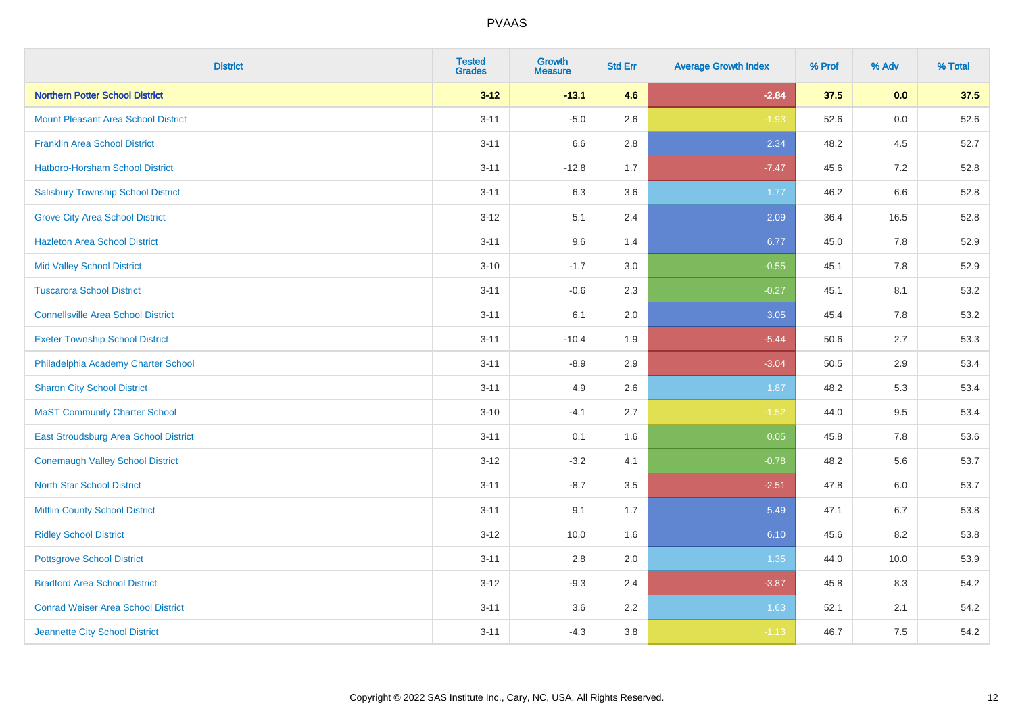| <b>District</b>                            | <b>Tested</b><br><b>Grades</b> | <b>Growth</b><br><b>Measure</b> | <b>Std Err</b> | <b>Average Growth Index</b> | % Prof | % Adv   | % Total |
|--------------------------------------------|--------------------------------|---------------------------------|----------------|-----------------------------|--------|---------|---------|
| <b>Northern Potter School District</b>     | $3 - 12$                       | $-13.1$                         | 4.6            | $-2.84$                     | 37.5   | 0.0     | 37.5    |
| <b>Mount Pleasant Area School District</b> | $3 - 11$                       | $-5.0$                          | 2.6            | $-1.93$                     | 52.6   | 0.0     | 52.6    |
| <b>Franklin Area School District</b>       | $3 - 11$                       | 6.6                             | 2.8            | 2.34                        | 48.2   | 4.5     | 52.7    |
| Hatboro-Horsham School District            | $3 - 11$                       | $-12.8$                         | 1.7            | $-7.47$                     | 45.6   | $7.2\,$ | 52.8    |
| <b>Salisbury Township School District</b>  | $3 - 11$                       | 6.3                             | 3.6            | 1.77                        | 46.2   | 6.6     | 52.8    |
| <b>Grove City Area School District</b>     | $3 - 12$                       | 5.1                             | 2.4            | 2.09                        | 36.4   | 16.5    | 52.8    |
| <b>Hazleton Area School District</b>       | $3 - 11$                       | 9.6                             | 1.4            | 6.77                        | 45.0   | 7.8     | 52.9    |
| <b>Mid Valley School District</b>          | $3 - 10$                       | $-1.7$                          | 3.0            | $-0.55$                     | 45.1   | 7.8     | 52.9    |
| <b>Tuscarora School District</b>           | $3 - 11$                       | $-0.6$                          | 2.3            | $-0.27$                     | 45.1   | 8.1     | 53.2    |
| <b>Connellsville Area School District</b>  | $3 - 11$                       | 6.1                             | 2.0            | 3.05                        | 45.4   | 7.8     | 53.2    |
| <b>Exeter Township School District</b>     | $3 - 11$                       | $-10.4$                         | 1.9            | $-5.44$                     | 50.6   | 2.7     | 53.3    |
| Philadelphia Academy Charter School        | $3 - 11$                       | $-8.9$                          | 2.9            | $-3.04$                     | 50.5   | 2.9     | 53.4    |
| <b>Sharon City School District</b>         | $3 - 11$                       | 4.9                             | 2.6            | 1.87                        | 48.2   | 5.3     | 53.4    |
| <b>MaST Community Charter School</b>       | $3 - 10$                       | $-4.1$                          | 2.7            | $-1.52$                     | 44.0   | 9.5     | 53.4    |
| East Stroudsburg Area School District      | $3 - 11$                       | 0.1                             | 1.6            | 0.05                        | 45.8   | 7.8     | 53.6    |
| <b>Conemaugh Valley School District</b>    | $3 - 12$                       | $-3.2$                          | 4.1            | $-0.78$                     | 48.2   | 5.6     | 53.7    |
| <b>North Star School District</b>          | $3 - 11$                       | $-8.7$                          | 3.5            | $-2.51$                     | 47.8   | 6.0     | 53.7    |
| <b>Mifflin County School District</b>      | $3 - 11$                       | 9.1                             | 1.7            | 5.49                        | 47.1   | 6.7     | 53.8    |
| <b>Ridley School District</b>              | $3 - 12$                       | 10.0                            | 1.6            | 6.10                        | 45.6   | 8.2     | 53.8    |
| <b>Pottsgrove School District</b>          | $3 - 11$                       | 2.8                             | 2.0            | 1.35                        | 44.0   | 10.0    | 53.9    |
| <b>Bradford Area School District</b>       | $3 - 12$                       | $-9.3$                          | 2.4            | $-3.87$                     | 45.8   | 8.3     | 54.2    |
| <b>Conrad Weiser Area School District</b>  | $3 - 11$                       | 3.6                             | 2.2            | 1.63                        | 52.1   | 2.1     | 54.2    |
| Jeannette City School District             | $3 - 11$                       | $-4.3$                          | $3.8\,$        | $-1.13$                     | 46.7   | 7.5     | 54.2    |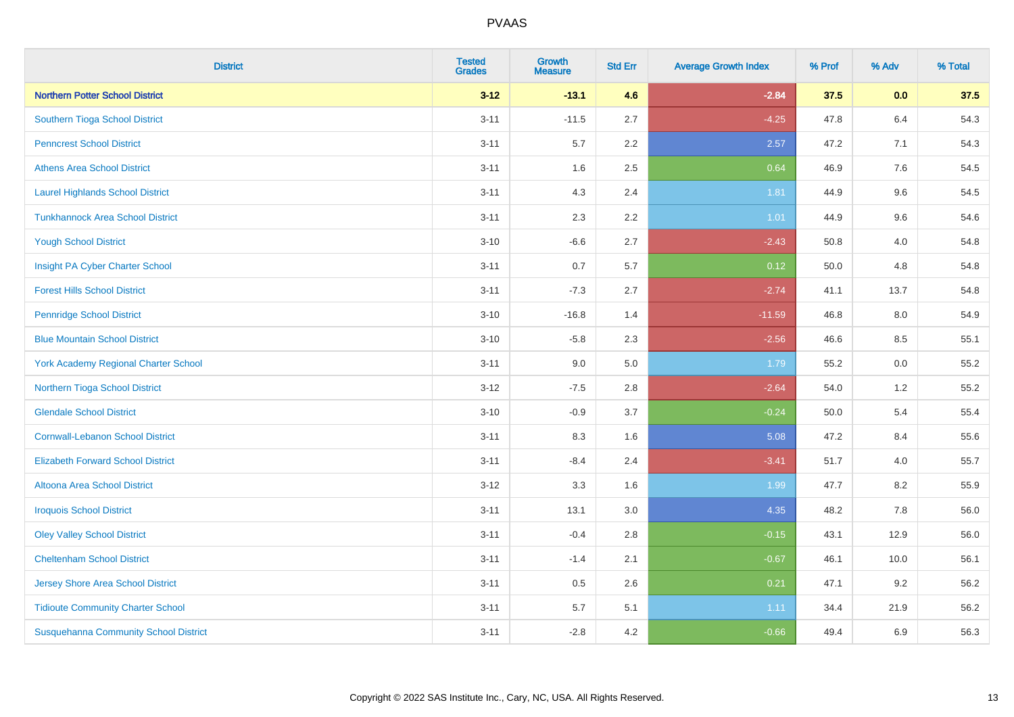| <b>District</b>                              | <b>Tested</b><br><b>Grades</b> | <b>Growth</b><br><b>Measure</b> | <b>Std Err</b> | <b>Average Growth Index</b> | % Prof | % Adv | % Total |
|----------------------------------------------|--------------------------------|---------------------------------|----------------|-----------------------------|--------|-------|---------|
| <b>Northern Potter School District</b>       | $3 - 12$                       | $-13.1$                         | 4.6            | $-2.84$                     | 37.5   | 0.0   | 37.5    |
| Southern Tioga School District               | $3 - 11$                       | $-11.5$                         | 2.7            | $-4.25$                     | 47.8   | 6.4   | 54.3    |
| <b>Penncrest School District</b>             | $3 - 11$                       | 5.7                             | 2.2            | 2.57                        | 47.2   | 7.1   | 54.3    |
| <b>Athens Area School District</b>           | $3 - 11$                       | 1.6                             | 2.5            | 0.64                        | 46.9   | 7.6   | 54.5    |
| <b>Laurel Highlands School District</b>      | $3 - 11$                       | 4.3                             | 2.4            | 1.81                        | 44.9   | 9.6   | 54.5    |
| <b>Tunkhannock Area School District</b>      | $3 - 11$                       | 2.3                             | 2.2            | $1.01$                      | 44.9   | 9.6   | 54.6    |
| <b>Yough School District</b>                 | $3 - 10$                       | $-6.6$                          | 2.7            | $-2.43$                     | 50.8   | 4.0   | 54.8    |
| Insight PA Cyber Charter School              | $3 - 11$                       | 0.7                             | 5.7            | 0.12                        | 50.0   | 4.8   | 54.8    |
| <b>Forest Hills School District</b>          | $3 - 11$                       | $-7.3$                          | 2.7            | $-2.74$                     | 41.1   | 13.7  | 54.8    |
| <b>Pennridge School District</b>             | $3 - 10$                       | $-16.8$                         | 1.4            | $-11.59$                    | 46.8   | 8.0   | 54.9    |
| <b>Blue Mountain School District</b>         | $3 - 10$                       | $-5.8$                          | 2.3            | $-2.56$                     | 46.6   | 8.5   | 55.1    |
| <b>York Academy Regional Charter School</b>  | $3 - 11$                       | 9.0                             | 5.0            | 1.79                        | 55.2   | 0.0   | 55.2    |
| Northern Tioga School District               | $3 - 12$                       | $-7.5$                          | 2.8            | $-2.64$                     | 54.0   | $1.2$ | 55.2    |
| <b>Glendale School District</b>              | $3 - 10$                       | $-0.9$                          | 3.7            | $-0.24$                     | 50.0   | 5.4   | 55.4    |
| <b>Cornwall-Lebanon School District</b>      | $3 - 11$                       | 8.3                             | 1.6            | 5.08                        | 47.2   | 8.4   | 55.6    |
| <b>Elizabeth Forward School District</b>     | $3 - 11$                       | $-8.4$                          | 2.4            | $-3.41$                     | 51.7   | 4.0   | 55.7    |
| <b>Altoona Area School District</b>          | $3 - 12$                       | 3.3                             | 1.6            | 1.99                        | 47.7   | 8.2   | 55.9    |
| <b>Iroquois School District</b>              | $3 - 11$                       | 13.1                            | 3.0            | 4.35                        | 48.2   | 7.8   | 56.0    |
| <b>Oley Valley School District</b>           | $3 - 11$                       | $-0.4$                          | 2.8            | $-0.15$                     | 43.1   | 12.9  | 56.0    |
| <b>Cheltenham School District</b>            | $3 - 11$                       | $-1.4$                          | 2.1            | $-0.67$                     | 46.1   | 10.0  | 56.1    |
| Jersey Shore Area School District            | $3 - 11$                       | 0.5                             | 2.6            | 0.21                        | 47.1   | 9.2   | 56.2    |
| <b>Tidioute Community Charter School</b>     | $3 - 11$                       | 5.7                             | 5.1            | 1.11                        | 34.4   | 21.9  | 56.2    |
| <b>Susquehanna Community School District</b> | $3 - 11$                       | $-2.8$                          | 4.2            | $-0.66$                     | 49.4   | 6.9   | 56.3    |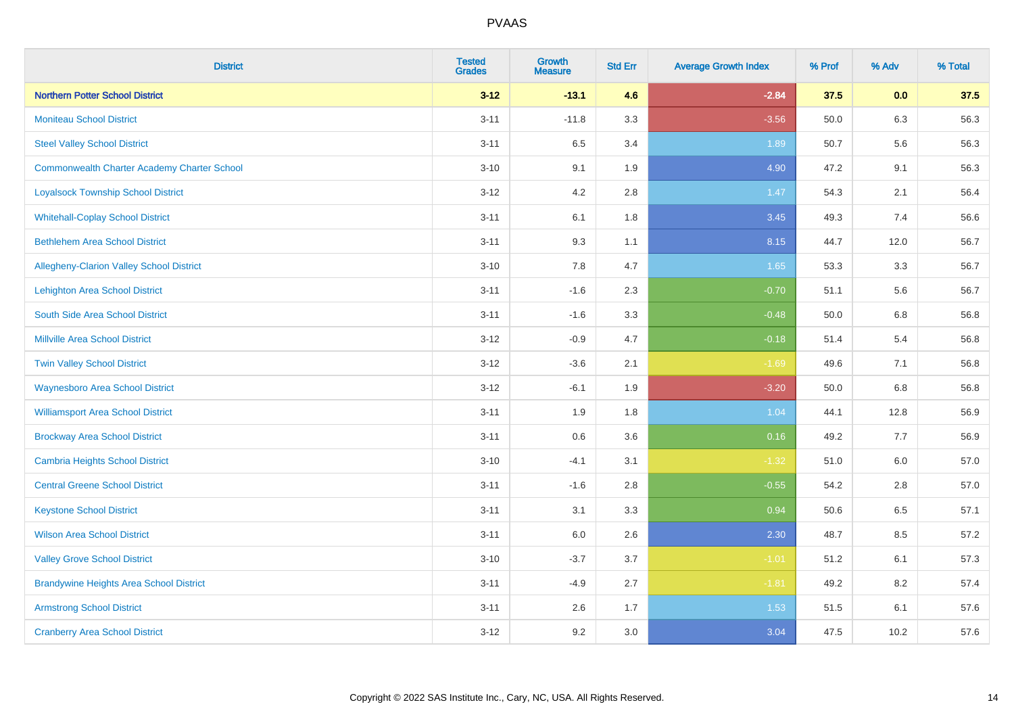| <b>District</b>                                    | <b>Tested</b><br><b>Grades</b> | Growth<br><b>Measure</b> | <b>Std Err</b> | <b>Average Growth Index</b> | % Prof | % Adv   | % Total |
|----------------------------------------------------|--------------------------------|--------------------------|----------------|-----------------------------|--------|---------|---------|
| <b>Northern Potter School District</b>             | $3 - 12$                       | $-13.1$                  | 4.6            | $-2.84$                     | 37.5   | 0.0     | 37.5    |
| <b>Moniteau School District</b>                    | $3 - 11$                       | $-11.8$                  | 3.3            | $-3.56$                     | 50.0   | 6.3     | 56.3    |
| <b>Steel Valley School District</b>                | $3 - 11$                       | 6.5                      | 3.4            | 1.89                        | 50.7   | 5.6     | 56.3    |
| <b>Commonwealth Charter Academy Charter School</b> | $3 - 10$                       | 9.1                      | 1.9            | 4.90                        | 47.2   | 9.1     | 56.3    |
| <b>Loyalsock Township School District</b>          | $3 - 12$                       | 4.2                      | 2.8            | 1.47                        | 54.3   | 2.1     | 56.4    |
| <b>Whitehall-Coplay School District</b>            | $3 - 11$                       | 6.1                      | 1.8            | 3.45                        | 49.3   | 7.4     | 56.6    |
| <b>Bethlehem Area School District</b>              | $3 - 11$                       | 9.3                      | 1.1            | 8.15                        | 44.7   | 12.0    | 56.7    |
| Allegheny-Clarion Valley School District           | $3 - 10$                       | 7.8                      | 4.7            | 1.65                        | 53.3   | 3.3     | 56.7    |
| Lehighton Area School District                     | $3 - 11$                       | $-1.6$                   | 2.3            | $-0.70$                     | 51.1   | 5.6     | 56.7    |
| South Side Area School District                    | $3 - 11$                       | $-1.6$                   | 3.3            | $-0.48$                     | 50.0   | 6.8     | 56.8    |
| <b>Millville Area School District</b>              | $3-12$                         | $-0.9$                   | 4.7            | $-0.18$                     | 51.4   | 5.4     | 56.8    |
| <b>Twin Valley School District</b>                 | $3-12$                         | $-3.6$                   | 2.1            | $-1.69$                     | 49.6   | 7.1     | 56.8    |
| <b>Waynesboro Area School District</b>             | $3 - 12$                       | $-6.1$                   | 1.9            | $-3.20$                     | 50.0   | $6.8\,$ | 56.8    |
| <b>Williamsport Area School District</b>           | $3 - 11$                       | 1.9                      | 1.8            | 1.04                        | 44.1   | 12.8    | 56.9    |
| <b>Brockway Area School District</b>               | $3 - 11$                       | $0.6\,$                  | 3.6            | 0.16                        | 49.2   | 7.7     | 56.9    |
| Cambria Heights School District                    | $3 - 10$                       | $-4.1$                   | 3.1            | $-1.32$                     | 51.0   | 6.0     | 57.0    |
| <b>Central Greene School District</b>              | $3 - 11$                       | $-1.6$                   | 2.8            | $-0.55$                     | 54.2   | 2.8     | 57.0    |
| <b>Keystone School District</b>                    | $3 - 11$                       | 3.1                      | 3.3            | 0.94                        | 50.6   | 6.5     | 57.1    |
| <b>Wilson Area School District</b>                 | $3 - 11$                       | 6.0                      | 2.6            | 2.30                        | 48.7   | 8.5     | 57.2    |
| <b>Valley Grove School District</b>                | $3 - 10$                       | $-3.7$                   | 3.7            | $-1.01$                     | 51.2   | 6.1     | 57.3    |
| <b>Brandywine Heights Area School District</b>     | $3 - 11$                       | $-4.9$                   | 2.7            | $-1.81$                     | 49.2   | 8.2     | 57.4    |
| <b>Armstrong School District</b>                   | $3 - 11$                       | 2.6                      | 1.7            | 1.53                        | 51.5   | 6.1     | 57.6    |
| <b>Cranberry Area School District</b>              | $3-12$                         | 9.2                      | 3.0            | 3.04                        | 47.5   | 10.2    | 57.6    |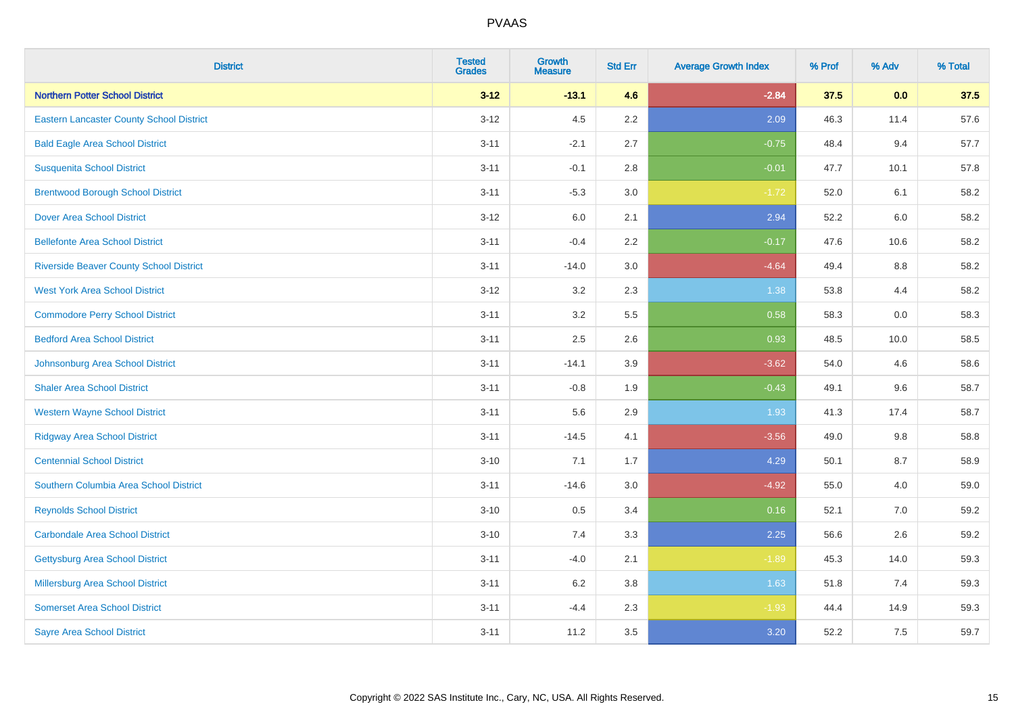| <b>District</b>                                 | <b>Tested</b><br><b>Grades</b> | <b>Growth</b><br><b>Measure</b> | <b>Std Err</b> | <b>Average Growth Index</b> | % Prof | % Adv | % Total |
|-------------------------------------------------|--------------------------------|---------------------------------|----------------|-----------------------------|--------|-------|---------|
| <b>Northern Potter School District</b>          | $3 - 12$                       | $-13.1$                         | 4.6            | $-2.84$                     | 37.5   | 0.0   | 37.5    |
| <b>Eastern Lancaster County School District</b> | $3 - 12$                       | 4.5                             | 2.2            | 2.09                        | 46.3   | 11.4  | 57.6    |
| <b>Bald Eagle Area School District</b>          | $3 - 11$                       | $-2.1$                          | 2.7            | $-0.75$                     | 48.4   | 9.4   | 57.7    |
| <b>Susquenita School District</b>               | $3 - 11$                       | $-0.1$                          | 2.8            | $-0.01$                     | 47.7   | 10.1  | 57.8    |
| <b>Brentwood Borough School District</b>        | $3 - 11$                       | $-5.3$                          | 3.0            | $-1.72$                     | 52.0   | 6.1   | 58.2    |
| <b>Dover Area School District</b>               | $3 - 12$                       | 6.0                             | 2.1            | 2.94                        | 52.2   | 6.0   | 58.2    |
| <b>Bellefonte Area School District</b>          | $3 - 11$                       | $-0.4$                          | 2.2            | $-0.17$                     | 47.6   | 10.6  | 58.2    |
| <b>Riverside Beaver County School District</b>  | $3 - 11$                       | $-14.0$                         | 3.0            | $-4.64$                     | 49.4   | 8.8   | 58.2    |
| <b>West York Area School District</b>           | $3 - 12$                       | 3.2                             | 2.3            | 1.38                        | 53.8   | 4.4   | 58.2    |
| <b>Commodore Perry School District</b>          | $3 - 11$                       | 3.2                             | 5.5            | 0.58                        | 58.3   | 0.0   | 58.3    |
| <b>Bedford Area School District</b>             | $3 - 11$                       | 2.5                             | 2.6            | 0.93                        | 48.5   | 10.0  | 58.5    |
| Johnsonburg Area School District                | $3 - 11$                       | $-14.1$                         | 3.9            | $-3.62$                     | 54.0   | 4.6   | 58.6    |
| <b>Shaler Area School District</b>              | $3 - 11$                       | $-0.8$                          | 1.9            | $-0.43$                     | 49.1   | 9.6   | 58.7    |
| <b>Western Wayne School District</b>            | $3 - 11$                       | 5.6                             | 2.9            | 1.93                        | 41.3   | 17.4  | 58.7    |
| <b>Ridgway Area School District</b>             | $3 - 11$                       | $-14.5$                         | 4.1            | $-3.56$                     | 49.0   | 9.8   | 58.8    |
| <b>Centennial School District</b>               | $3 - 10$                       | 7.1                             | 1.7            | 4.29                        | 50.1   | 8.7   | 58.9    |
| Southern Columbia Area School District          | $3 - 11$                       | $-14.6$                         | 3.0            | $-4.92$                     | 55.0   | 4.0   | 59.0    |
| <b>Reynolds School District</b>                 | $3 - 10$                       | 0.5                             | 3.4            | 0.16                        | 52.1   | 7.0   | 59.2    |
| <b>Carbondale Area School District</b>          | $3 - 10$                       | 7.4                             | 3.3            | 2.25                        | 56.6   | 2.6   | 59.2    |
| <b>Gettysburg Area School District</b>          | $3 - 11$                       | $-4.0$                          | 2.1            | $-1.89$                     | 45.3   | 14.0  | 59.3    |
| <b>Millersburg Area School District</b>         | $3 - 11$                       | 6.2                             | 3.8            | 1.63                        | 51.8   | 7.4   | 59.3    |
| <b>Somerset Area School District</b>            | $3 - 11$                       | $-4.4$                          | 2.3            | $-1.93$                     | 44.4   | 14.9  | 59.3    |
| <b>Sayre Area School District</b>               | $3 - 11$                       | 11.2                            | 3.5            | 3.20                        | 52.2   | 7.5   | 59.7    |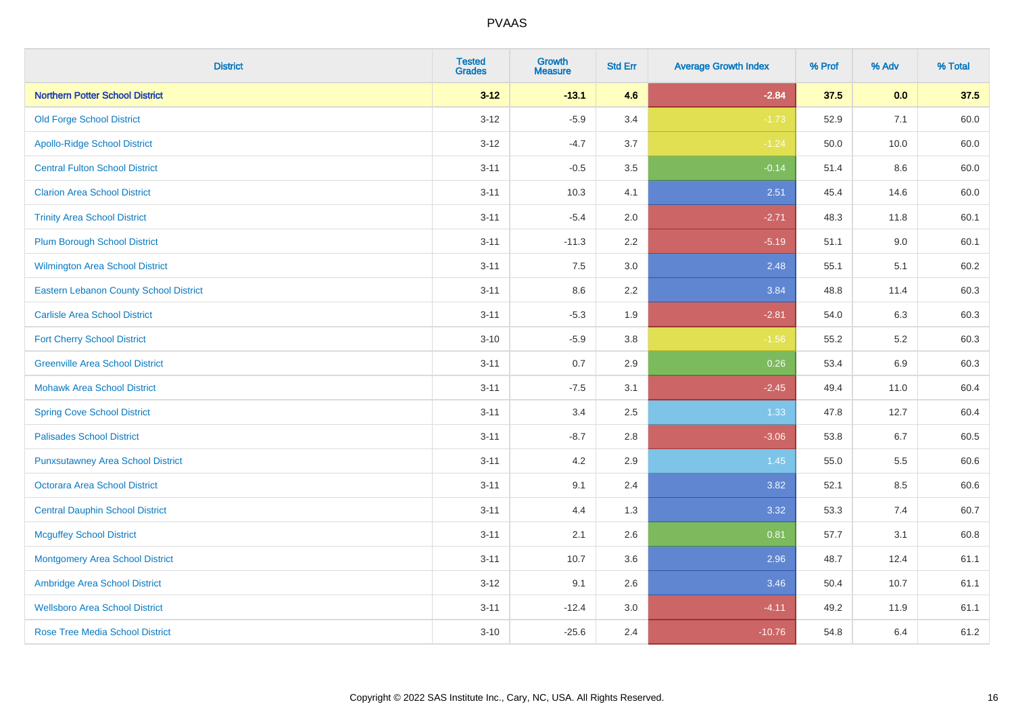| <b>District</b>                               | <b>Tested</b><br><b>Grades</b> | <b>Growth</b><br><b>Measure</b> | <b>Std Err</b> | <b>Average Growth Index</b> | % Prof | % Adv   | % Total |
|-----------------------------------------------|--------------------------------|---------------------------------|----------------|-----------------------------|--------|---------|---------|
| <b>Northern Potter School District</b>        | $3 - 12$                       | $-13.1$                         | 4.6            | $-2.84$                     | 37.5   | 0.0     | 37.5    |
| <b>Old Forge School District</b>              | $3 - 12$                       | $-5.9$                          | 3.4            | $-1.73$                     | 52.9   | 7.1     | 60.0    |
| <b>Apollo-Ridge School District</b>           | $3-12$                         | $-4.7$                          | 3.7            | $-1.24$                     | 50.0   | 10.0    | 60.0    |
| <b>Central Fulton School District</b>         | $3 - 11$                       | $-0.5$                          | 3.5            | $-0.14$                     | 51.4   | 8.6     | 60.0    |
| <b>Clarion Area School District</b>           | $3 - 11$                       | 10.3                            | 4.1            | 2.51                        | 45.4   | 14.6    | 60.0    |
| <b>Trinity Area School District</b>           | $3 - 11$                       | $-5.4$                          | 2.0            | $-2.71$                     | 48.3   | 11.8    | 60.1    |
| <b>Plum Borough School District</b>           | $3 - 11$                       | $-11.3$                         | 2.2            | $-5.19$                     | 51.1   | $9.0\,$ | 60.1    |
| <b>Wilmington Area School District</b>        | $3 - 11$                       | 7.5                             | 3.0            | 2.48                        | 55.1   | 5.1     | 60.2    |
| <b>Eastern Lebanon County School District</b> | $3 - 11$                       | 8.6                             | 2.2            | 3.84                        | 48.8   | 11.4    | 60.3    |
| <b>Carlisle Area School District</b>          | $3 - 11$                       | $-5.3$                          | 1.9            | $-2.81$                     | 54.0   | 6.3     | 60.3    |
| <b>Fort Cherry School District</b>            | $3 - 10$                       | $-5.9$                          | 3.8            | $-1.56$                     | 55.2   | $5.2\,$ | 60.3    |
| <b>Greenville Area School District</b>        | $3 - 11$                       | 0.7                             | 2.9            | 0.26                        | 53.4   | 6.9     | 60.3    |
| <b>Mohawk Area School District</b>            | $3 - 11$                       | $-7.5$                          | 3.1            | $-2.45$                     | 49.4   | 11.0    | 60.4    |
| <b>Spring Cove School District</b>            | $3 - 11$                       | 3.4                             | 2.5            | 1.33                        | 47.8   | 12.7    | 60.4    |
| <b>Palisades School District</b>              | $3 - 11$                       | $-8.7$                          | 2.8            | $-3.06$                     | 53.8   | 6.7     | 60.5    |
| <b>Punxsutawney Area School District</b>      | $3 - 11$                       | 4.2                             | 2.9            | 1.45                        | 55.0   | 5.5     | 60.6    |
| <b>Octorara Area School District</b>          | $3 - 11$                       | 9.1                             | 2.4            | 3.82                        | 52.1   | 8.5     | 60.6    |
| <b>Central Dauphin School District</b>        | $3 - 11$                       | 4.4                             | 1.3            | 3.32                        | 53.3   | 7.4     | 60.7    |
| <b>Mcguffey School District</b>               | $3 - 11$                       | 2.1                             | 2.6            | 0.81                        | 57.7   | 3.1     | 60.8    |
| <b>Montgomery Area School District</b>        | $3 - 11$                       | 10.7                            | 3.6            | 2.96                        | 48.7   | 12.4    | 61.1    |
| Ambridge Area School District                 | $3 - 12$                       | 9.1                             | 2.6            | 3.46                        | 50.4   | 10.7    | 61.1    |
| <b>Wellsboro Area School District</b>         | $3 - 11$                       | $-12.4$                         | 3.0            | $-4.11$                     | 49.2   | 11.9    | 61.1    |
| <b>Rose Tree Media School District</b>        | $3 - 10$                       | $-25.6$                         | 2.4            | $-10.76$                    | 54.8   | 6.4     | 61.2    |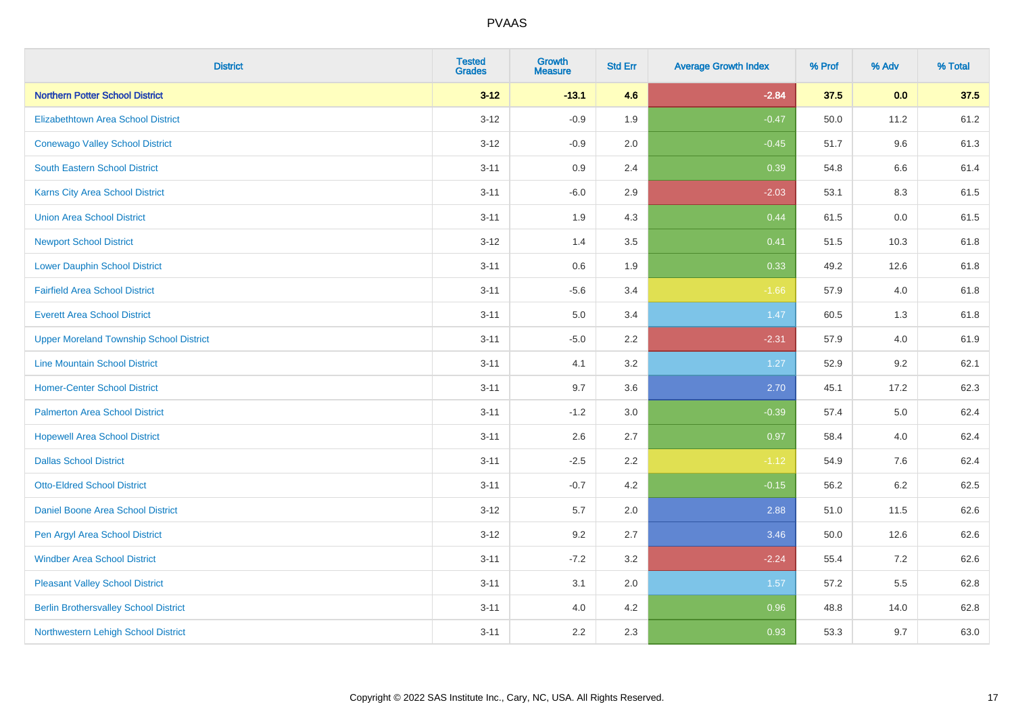| <b>District</b>                                | <b>Tested</b><br><b>Grades</b> | <b>Growth</b><br><b>Measure</b> | <b>Std Err</b> | <b>Average Growth Index</b> | % Prof | % Adv   | % Total |
|------------------------------------------------|--------------------------------|---------------------------------|----------------|-----------------------------|--------|---------|---------|
| <b>Northern Potter School District</b>         | $3 - 12$                       | $-13.1$                         | 4.6            | $-2.84$                     | 37.5   | 0.0     | 37.5    |
| <b>Elizabethtown Area School District</b>      | $3 - 12$                       | $-0.9$                          | 1.9            | $-0.47$                     | 50.0   | 11.2    | 61.2    |
| <b>Conewago Valley School District</b>         | $3 - 12$                       | $-0.9$                          | 2.0            | $-0.45$                     | 51.7   | 9.6     | 61.3    |
| South Eastern School District                  | $3 - 11$                       | $0.9\,$                         | 2.4            | 0.39                        | 54.8   | 6.6     | 61.4    |
| <b>Karns City Area School District</b>         | $3 - 11$                       | $-6.0$                          | 2.9            | $-2.03$                     | 53.1   | 8.3     | 61.5    |
| <b>Union Area School District</b>              | $3 - 11$                       | 1.9                             | 4.3            | 0.44                        | 61.5   | 0.0     | 61.5    |
| <b>Newport School District</b>                 | $3 - 12$                       | 1.4                             | 3.5            | 0.41                        | 51.5   | 10.3    | 61.8    |
| <b>Lower Dauphin School District</b>           | $3 - 11$                       | 0.6                             | 1.9            | 0.33                        | 49.2   | 12.6    | 61.8    |
| <b>Fairfield Area School District</b>          | $3 - 11$                       | $-5.6$                          | 3.4            | $-1.66$                     | 57.9   | 4.0     | 61.8    |
| <b>Everett Area School District</b>            | $3 - 11$                       | 5.0                             | 3.4            | 1.47                        | 60.5   | 1.3     | 61.8    |
| <b>Upper Moreland Township School District</b> | $3 - 11$                       | $-5.0$                          | 2.2            | $-2.31$                     | 57.9   | 4.0     | 61.9    |
| <b>Line Mountain School District</b>           | $3 - 11$                       | 4.1                             | 3.2            | 1.27                        | 52.9   | 9.2     | 62.1    |
| <b>Homer-Center School District</b>            | $3 - 11$                       | 9.7                             | 3.6            | 2.70                        | 45.1   | 17.2    | 62.3    |
| <b>Palmerton Area School District</b>          | $3 - 11$                       | $-1.2$                          | 3.0            | $-0.39$                     | 57.4   | 5.0     | 62.4    |
| <b>Hopewell Area School District</b>           | $3 - 11$                       | 2.6                             | 2.7            | 0.97                        | 58.4   | 4.0     | 62.4    |
| <b>Dallas School District</b>                  | $3 - 11$                       | $-2.5$                          | 2.2            | $-1.12$                     | 54.9   | 7.6     | 62.4    |
| <b>Otto-Eldred School District</b>             | $3 - 11$                       | $-0.7$                          | 4.2            | $-0.15$                     | 56.2   | $6.2\,$ | 62.5    |
| Daniel Boone Area School District              | $3 - 12$                       | 5.7                             | 2.0            | 2.88                        | 51.0   | 11.5    | 62.6    |
| Pen Argyl Area School District                 | $3 - 12$                       | 9.2                             | 2.7            | 3.46                        | 50.0   | 12.6    | 62.6    |
| <b>Windber Area School District</b>            | $3 - 11$                       | $-7.2$                          | 3.2            | $-2.24$                     | 55.4   | 7.2     | 62.6    |
| <b>Pleasant Valley School District</b>         | $3 - 11$                       | 3.1                             | 2.0            | 1.57                        | 57.2   | 5.5     | 62.8    |
| <b>Berlin Brothersvalley School District</b>   | $3 - 11$                       | 4.0                             | 4.2            | 0.96                        | 48.8   | 14.0    | 62.8    |
| Northwestern Lehigh School District            | $3 - 11$                       | 2.2                             | 2.3            | 0.93                        | 53.3   | 9.7     | 63.0    |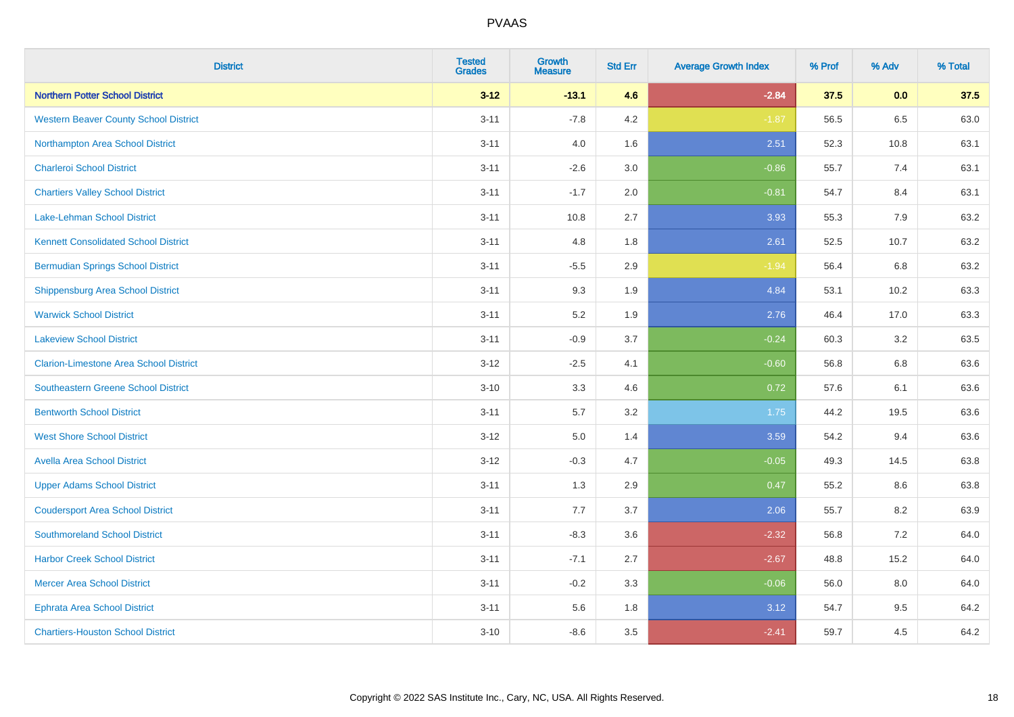| <b>District</b>                               | <b>Tested</b><br><b>Grades</b> | <b>Growth</b><br><b>Measure</b> | <b>Std Err</b> | <b>Average Growth Index</b> | % Prof | % Adv | % Total |
|-----------------------------------------------|--------------------------------|---------------------------------|----------------|-----------------------------|--------|-------|---------|
| <b>Northern Potter School District</b>        | $3 - 12$                       | $-13.1$                         | 4.6            | $-2.84$                     | 37.5   | 0.0   | 37.5    |
| <b>Western Beaver County School District</b>  | $3 - 11$                       | $-7.8$                          | 4.2            | $-1.87$                     | 56.5   | 6.5   | 63.0    |
| Northampton Area School District              | $3 - 11$                       | 4.0                             | 1.6            | 2.51                        | 52.3   | 10.8  | 63.1    |
| <b>Charleroi School District</b>              | $3 - 11$                       | $-2.6$                          | 3.0            | $-0.86$                     | 55.7   | 7.4   | 63.1    |
| <b>Chartiers Valley School District</b>       | $3 - 11$                       | $-1.7$                          | 2.0            | $-0.81$                     | 54.7   | 8.4   | 63.1    |
| <b>Lake-Lehman School District</b>            | $3 - 11$                       | 10.8                            | 2.7            | 3.93                        | 55.3   | 7.9   | 63.2    |
| <b>Kennett Consolidated School District</b>   | $3 - 11$                       | 4.8                             | 1.8            | 2.61                        | 52.5   | 10.7  | 63.2    |
| <b>Bermudian Springs School District</b>      | $3 - 11$                       | $-5.5$                          | 2.9            | $-1.94$                     | 56.4   | 6.8   | 63.2    |
| <b>Shippensburg Area School District</b>      | $3 - 11$                       | 9.3                             | 1.9            | 4.84                        | 53.1   | 10.2  | 63.3    |
| <b>Warwick School District</b>                | $3 - 11$                       | 5.2                             | 1.9            | 2.76                        | 46.4   | 17.0  | 63.3    |
| <b>Lakeview School District</b>               | $3 - 11$                       | $-0.9$                          | 3.7            | $-0.24$                     | 60.3   | 3.2   | 63.5    |
| <b>Clarion-Limestone Area School District</b> | $3-12$                         | $-2.5$                          | 4.1            | $-0.60$                     | 56.8   | 6.8   | 63.6    |
| Southeastern Greene School District           | $3 - 10$                       | 3.3                             | 4.6            | 0.72                        | 57.6   | 6.1   | 63.6    |
| <b>Bentworth School District</b>              | $3 - 11$                       | 5.7                             | 3.2            | 1.75                        | 44.2   | 19.5  | 63.6    |
| <b>West Shore School District</b>             | $3 - 12$                       | 5.0                             | 1.4            | 3.59                        | 54.2   | 9.4   | 63.6    |
| <b>Avella Area School District</b>            | $3 - 12$                       | $-0.3$                          | 4.7            | $-0.05$                     | 49.3   | 14.5  | 63.8    |
| <b>Upper Adams School District</b>            | $3 - 11$                       | 1.3                             | 2.9            | 0.47                        | 55.2   | 8.6   | 63.8    |
| <b>Coudersport Area School District</b>       | $3 - 11$                       | 7.7                             | 3.7            | 2.06                        | 55.7   | 8.2   | 63.9    |
| <b>Southmoreland School District</b>          | $3 - 11$                       | $-8.3$                          | 3.6            | $-2.32$                     | 56.8   | 7.2   | 64.0    |
| <b>Harbor Creek School District</b>           | $3 - 11$                       | $-7.1$                          | 2.7            | $-2.67$                     | 48.8   | 15.2  | 64.0    |
| <b>Mercer Area School District</b>            | $3 - 11$                       | $-0.2$                          | 3.3            | $-0.06$                     | 56.0   | 8.0   | 64.0    |
| <b>Ephrata Area School District</b>           | $3 - 11$                       | 5.6                             | 1.8            | 3.12                        | 54.7   | 9.5   | 64.2    |
| <b>Chartiers-Houston School District</b>      | $3 - 10$                       | $-8.6$                          | 3.5            | $-2.41$                     | 59.7   | 4.5   | 64.2    |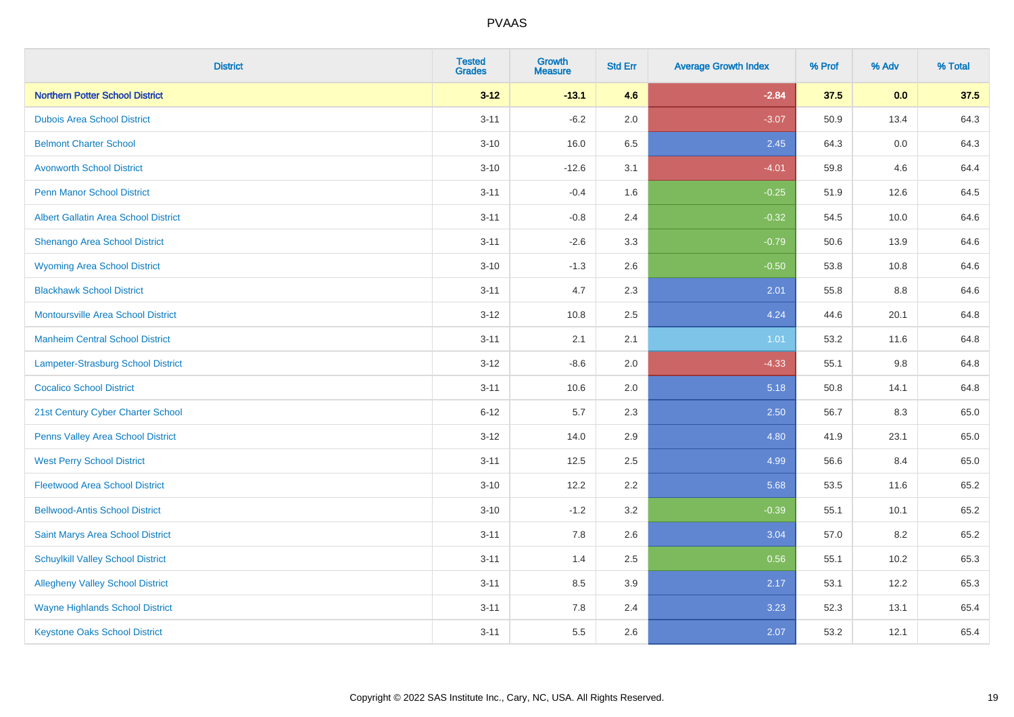| <b>District</b>                             | <b>Tested</b><br><b>Grades</b> | <b>Growth</b><br><b>Measure</b> | <b>Std Err</b> | <b>Average Growth Index</b> | % Prof | % Adv   | % Total |
|---------------------------------------------|--------------------------------|---------------------------------|----------------|-----------------------------|--------|---------|---------|
| <b>Northern Potter School District</b>      | $3 - 12$                       | $-13.1$                         | 4.6            | $-2.84$                     | 37.5   | 0.0     | 37.5    |
| <b>Dubois Area School District</b>          | $3 - 11$                       | $-6.2$                          | 2.0            | $-3.07$                     | 50.9   | 13.4    | 64.3    |
| <b>Belmont Charter School</b>               | $3 - 10$                       | 16.0                            | 6.5            | 2.45                        | 64.3   | 0.0     | 64.3    |
| <b>Avonworth School District</b>            | $3 - 10$                       | $-12.6$                         | 3.1            | $-4.01$                     | 59.8   | 4.6     | 64.4    |
| <b>Penn Manor School District</b>           | $3 - 11$                       | $-0.4$                          | 1.6            | $-0.25$                     | 51.9   | 12.6    | 64.5    |
| <b>Albert Gallatin Area School District</b> | $3 - 11$                       | $-0.8$                          | 2.4            | $-0.32$                     | 54.5   | 10.0    | 64.6    |
| Shenango Area School District               | $3 - 11$                       | $-2.6$                          | 3.3            | $-0.79$                     | 50.6   | 13.9    | 64.6    |
| <b>Wyoming Area School District</b>         | $3 - 10$                       | $-1.3$                          | 2.6            | $-0.50$                     | 53.8   | 10.8    | 64.6    |
| <b>Blackhawk School District</b>            | $3 - 11$                       | 4.7                             | 2.3            | 2.01                        | 55.8   | 8.8     | 64.6    |
| <b>Montoursville Area School District</b>   | $3-12$                         | 10.8                            | 2.5            | 4.24                        | 44.6   | 20.1    | 64.8    |
| <b>Manheim Central School District</b>      | $3 - 11$                       | 2.1                             | 2.1            | 1.01                        | 53.2   | 11.6    | 64.8    |
| Lampeter-Strasburg School District          | $3 - 12$                       | $-8.6$                          | 2.0            | $-4.33$                     | 55.1   | $9.8\,$ | 64.8    |
| <b>Cocalico School District</b>             | $3 - 11$                       | 10.6                            | 2.0            | 5.18                        | 50.8   | 14.1    | 64.8    |
| 21st Century Cyber Charter School           | $6 - 12$                       | 5.7                             | 2.3            | 2.50                        | 56.7   | 8.3     | 65.0    |
| Penns Valley Area School District           | $3-12$                         | 14.0                            | 2.9            | 4.80                        | 41.9   | 23.1    | 65.0    |
| <b>West Perry School District</b>           | $3 - 11$                       | 12.5                            | 2.5            | 4.99                        | 56.6   | 8.4     | 65.0    |
| <b>Fleetwood Area School District</b>       | $3 - 10$                       | 12.2                            | 2.2            | 5.68                        | 53.5   | 11.6    | 65.2    |
| <b>Bellwood-Antis School District</b>       | $3 - 10$                       | $-1.2$                          | 3.2            | $-0.39$                     | 55.1   | 10.1    | 65.2    |
| Saint Marys Area School District            | $3 - 11$                       | 7.8                             | 2.6            | 3.04                        | 57.0   | 8.2     | 65.2    |
| <b>Schuylkill Valley School District</b>    | $3 - 11$                       | 1.4                             | 2.5            | 0.56                        | 55.1   | 10.2    | 65.3    |
| <b>Allegheny Valley School District</b>     | $3 - 11$                       | 8.5                             | 3.9            | 2.17                        | 53.1   | 12.2    | 65.3    |
| <b>Wayne Highlands School District</b>      | $3 - 11$                       | 7.8                             | 2.4            | 3.23                        | 52.3   | 13.1    | 65.4    |
| <b>Keystone Oaks School District</b>        | $3 - 11$                       | 5.5                             | 2.6            | 2.07                        | 53.2   | 12.1    | 65.4    |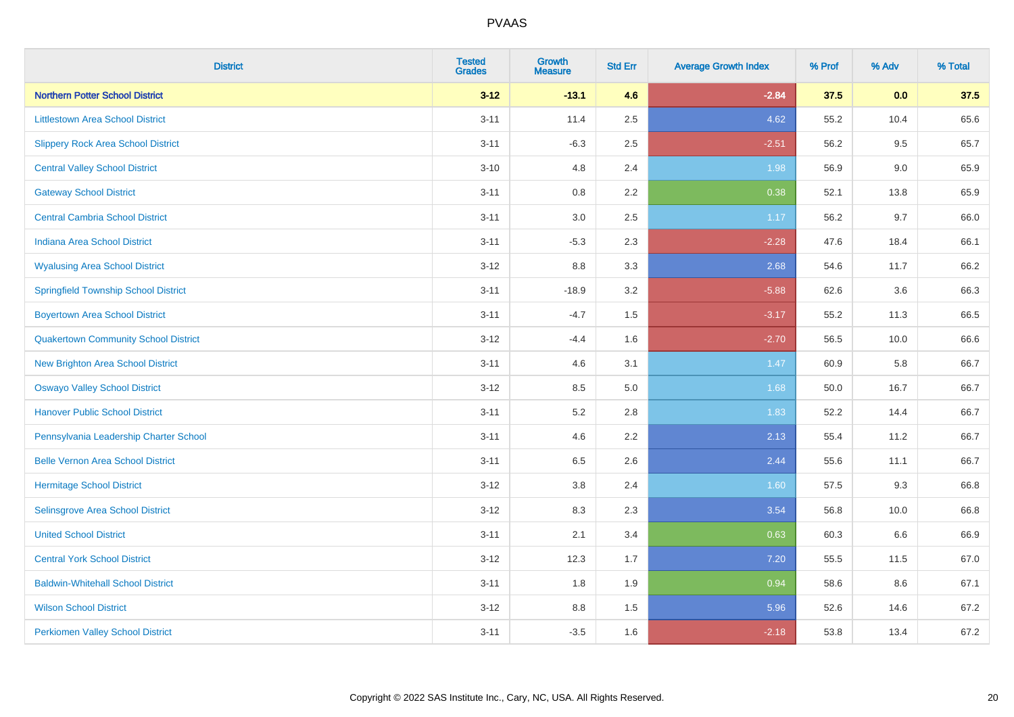| <b>District</b>                             | <b>Tested</b><br><b>Grades</b> | <b>Growth</b><br><b>Measure</b> | <b>Std Err</b> | <b>Average Growth Index</b> | % Prof | % Adv | % Total |
|---------------------------------------------|--------------------------------|---------------------------------|----------------|-----------------------------|--------|-------|---------|
| <b>Northern Potter School District</b>      | $3 - 12$                       | $-13.1$                         | 4.6            | $-2.84$                     | 37.5   | 0.0   | 37.5    |
| <b>Littlestown Area School District</b>     | $3 - 11$                       | 11.4                            | 2.5            | 4.62                        | 55.2   | 10.4  | 65.6    |
| <b>Slippery Rock Area School District</b>   | $3 - 11$                       | $-6.3$                          | 2.5            | $-2.51$                     | 56.2   | 9.5   | 65.7    |
| <b>Central Valley School District</b>       | $3 - 10$                       | 4.8                             | 2.4            | 1.98                        | 56.9   | 9.0   | 65.9    |
| <b>Gateway School District</b>              | $3 - 11$                       | 0.8                             | 2.2            | 0.38                        | 52.1   | 13.8  | 65.9    |
| <b>Central Cambria School District</b>      | $3 - 11$                       | $3.0\,$                         | 2.5            | 1.17                        | 56.2   | 9.7   | 66.0    |
| Indiana Area School District                | $3 - 11$                       | $-5.3$                          | 2.3            | $-2.28$                     | 47.6   | 18.4  | 66.1    |
| <b>Wyalusing Area School District</b>       | $3 - 12$                       | 8.8                             | 3.3            | 2.68                        | 54.6   | 11.7  | 66.2    |
| <b>Springfield Township School District</b> | $3 - 11$                       | $-18.9$                         | 3.2            | $-5.88$                     | 62.6   | 3.6   | 66.3    |
| <b>Boyertown Area School District</b>       | $3 - 11$                       | $-4.7$                          | 1.5            | $-3.17$                     | 55.2   | 11.3  | 66.5    |
| <b>Quakertown Community School District</b> | $3 - 12$                       | $-4.4$                          | 1.6            | $-2.70$                     | 56.5   | 10.0  | 66.6    |
| <b>New Brighton Area School District</b>    | $3 - 11$                       | 4.6                             | 3.1            | 1.47                        | 60.9   | 5.8   | 66.7    |
| <b>Oswayo Valley School District</b>        | $3 - 12$                       | 8.5                             | 5.0            | 1.68                        | 50.0   | 16.7  | 66.7    |
| <b>Hanover Public School District</b>       | $3 - 11$                       | 5.2                             | 2.8            | 1.83                        | 52.2   | 14.4  | 66.7    |
| Pennsylvania Leadership Charter School      | $3 - 11$                       | 4.6                             | 2.2            | 2.13                        | 55.4   | 11.2  | 66.7    |
| <b>Belle Vernon Area School District</b>    | $3 - 11$                       | 6.5                             | 2.6            | 2.44                        | 55.6   | 11.1  | 66.7    |
| <b>Hermitage School District</b>            | $3 - 12$                       | 3.8                             | 2.4            | 1.60                        | 57.5   | 9.3   | 66.8    |
| Selinsgrove Area School District            | $3 - 12$                       | 8.3                             | 2.3            | 3.54                        | 56.8   | 10.0  | 66.8    |
| <b>United School District</b>               | $3 - 11$                       | 2.1                             | 3.4            | 0.63                        | 60.3   | 6.6   | 66.9    |
| <b>Central York School District</b>         | $3 - 12$                       | 12.3                            | 1.7            | 7.20                        | 55.5   | 11.5  | 67.0    |
| <b>Baldwin-Whitehall School District</b>    | $3 - 11$                       | 1.8                             | 1.9            | 0.94                        | 58.6   | 8.6   | 67.1    |
| <b>Wilson School District</b>               | $3 - 12$                       | 8.8                             | 1.5            | 5.96                        | 52.6   | 14.6  | 67.2    |
| <b>Perkiomen Valley School District</b>     | $3 - 11$                       | $-3.5$                          | 1.6            | $-2.18$                     | 53.8   | 13.4  | 67.2    |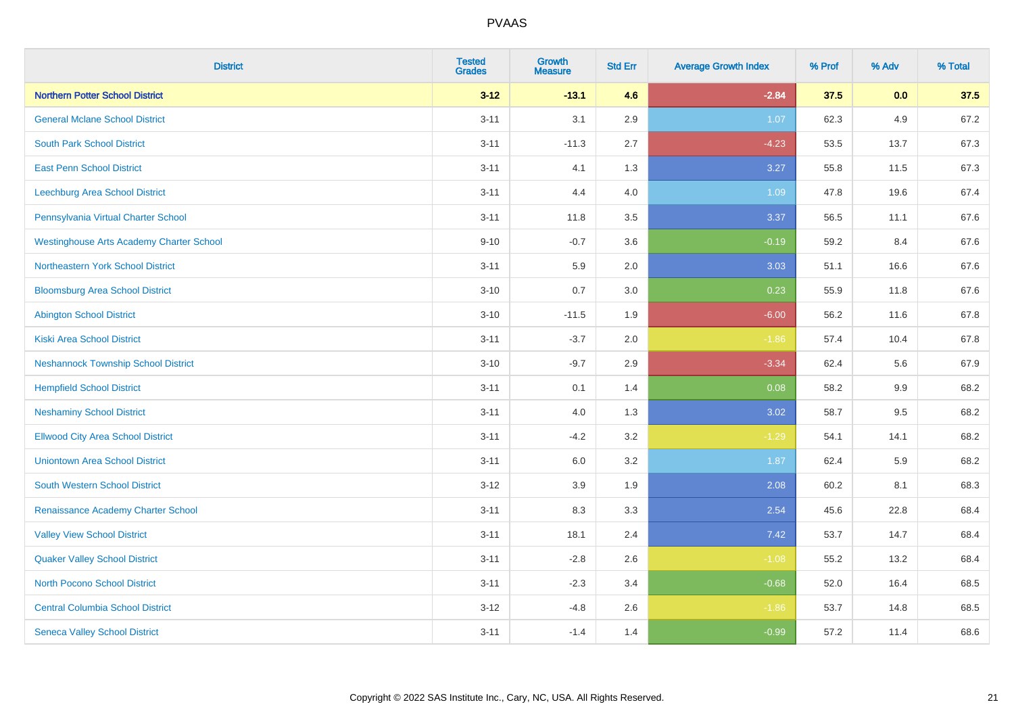| <b>District</b>                                 | <b>Tested</b><br><b>Grades</b> | <b>Growth</b><br><b>Measure</b> | <b>Std Err</b> | <b>Average Growth Index</b> | % Prof | % Adv | % Total |
|-------------------------------------------------|--------------------------------|---------------------------------|----------------|-----------------------------|--------|-------|---------|
| <b>Northern Potter School District</b>          | $3 - 12$                       | $-13.1$                         | 4.6            | $-2.84$                     | 37.5   | 0.0   | 37.5    |
| <b>General Mclane School District</b>           | $3 - 11$                       | 3.1                             | 2.9            | 1.07                        | 62.3   | 4.9   | 67.2    |
| <b>South Park School District</b>               | $3 - 11$                       | $-11.3$                         | 2.7            | $-4.23$                     | 53.5   | 13.7  | 67.3    |
| <b>East Penn School District</b>                | $3 - 11$                       | 4.1                             | 1.3            | 3.27                        | 55.8   | 11.5  | 67.3    |
| Leechburg Area School District                  | $3 - 11$                       | 4.4                             | 4.0            | 1.09                        | 47.8   | 19.6  | 67.4    |
| Pennsylvania Virtual Charter School             | $3 - 11$                       | 11.8                            | 3.5            | 3.37                        | 56.5   | 11.1  | 67.6    |
| <b>Westinghouse Arts Academy Charter School</b> | $9 - 10$                       | $-0.7$                          | 3.6            | $-0.19$                     | 59.2   | 8.4   | 67.6    |
| Northeastern York School District               | $3 - 11$                       | 5.9                             | 2.0            | 3.03                        | 51.1   | 16.6  | 67.6    |
| <b>Bloomsburg Area School District</b>          | $3 - 10$                       | 0.7                             | 3.0            | 0.23                        | 55.9   | 11.8  | 67.6    |
| <b>Abington School District</b>                 | $3 - 10$                       | $-11.5$                         | 1.9            | $-6.00$                     | 56.2   | 11.6  | 67.8    |
| <b>Kiski Area School District</b>               | $3 - 11$                       | $-3.7$                          | 2.0            | $-1.86$                     | 57.4   | 10.4  | 67.8    |
| <b>Neshannock Township School District</b>      | $3 - 10$                       | $-9.7$                          | 2.9            | $-3.34$                     | 62.4   | 5.6   | 67.9    |
| <b>Hempfield School District</b>                | $3 - 11$                       | 0.1                             | 1.4            | 0.08                        | 58.2   | 9.9   | 68.2    |
| <b>Neshaminy School District</b>                | $3 - 11$                       | 4.0                             | 1.3            | 3.02                        | 58.7   | 9.5   | 68.2    |
| <b>Ellwood City Area School District</b>        | $3 - 11$                       | $-4.2$                          | 3.2            | $-1.29$                     | 54.1   | 14.1  | 68.2    |
| <b>Uniontown Area School District</b>           | $3 - 11$                       | 6.0                             | 3.2            | 1.87                        | 62.4   | 5.9   | 68.2    |
| <b>South Western School District</b>            | $3 - 12$                       | 3.9                             | 1.9            | 2.08                        | 60.2   | 8.1   | 68.3    |
| Renaissance Academy Charter School              | $3 - 11$                       | 8.3                             | 3.3            | 2.54                        | 45.6   | 22.8  | 68.4    |
| <b>Valley View School District</b>              | $3 - 11$                       | 18.1                            | 2.4            | 7.42                        | 53.7   | 14.7  | 68.4    |
| <b>Quaker Valley School District</b>            | $3 - 11$                       | $-2.8$                          | 2.6            | $-1.08$                     | 55.2   | 13.2  | 68.4    |
| North Pocono School District                    | $3 - 11$                       | $-2.3$                          | 3.4            | $-0.68$                     | 52.0   | 16.4  | 68.5    |
| <b>Central Columbia School District</b>         | $3-12$                         | $-4.8$                          | 2.6            | $-1.86$                     | 53.7   | 14.8  | 68.5    |
| <b>Seneca Valley School District</b>            | $3 - 11$                       | $-1.4$                          | 1.4            | $-0.99$                     | 57.2   | 11.4  | 68.6    |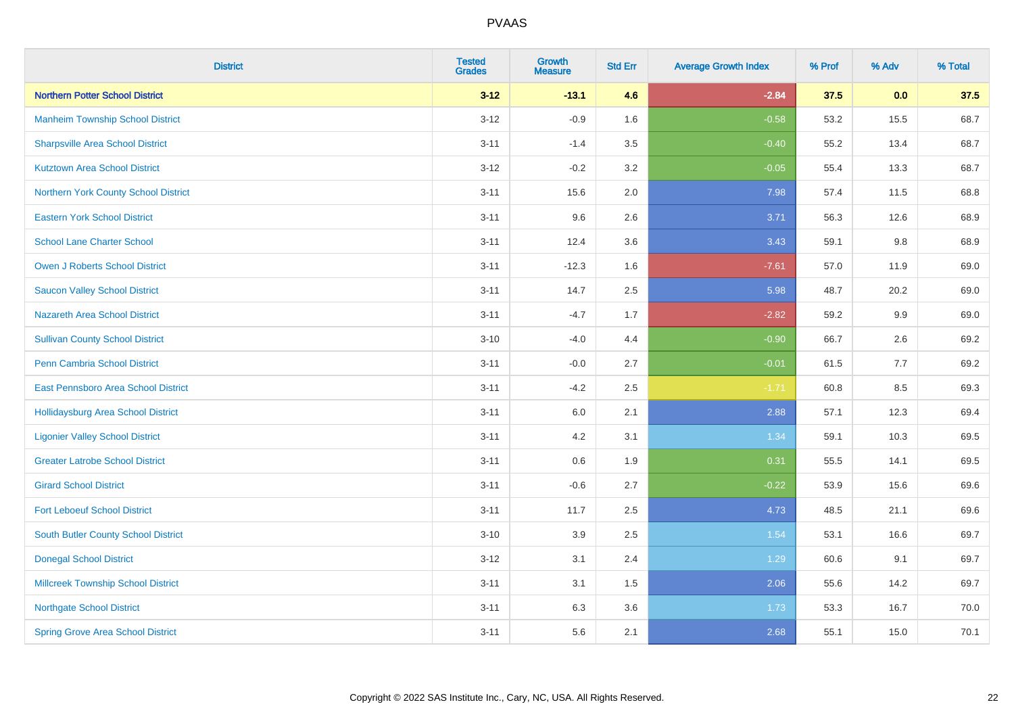| <b>District</b>                           | <b>Tested</b><br><b>Grades</b> | <b>Growth</b><br><b>Measure</b> | <b>Std Err</b> | <b>Average Growth Index</b> | % Prof | % Adv | % Total |
|-------------------------------------------|--------------------------------|---------------------------------|----------------|-----------------------------|--------|-------|---------|
| <b>Northern Potter School District</b>    | $3 - 12$                       | $-13.1$                         | 4.6            | $-2.84$                     | 37.5   | 0.0   | 37.5    |
| <b>Manheim Township School District</b>   | $3 - 12$                       | $-0.9$                          | 1.6            | $-0.58$                     | 53.2   | 15.5  | 68.7    |
| <b>Sharpsville Area School District</b>   | $3 - 11$                       | $-1.4$                          | 3.5            | $-0.40$                     | 55.2   | 13.4  | 68.7    |
| <b>Kutztown Area School District</b>      | $3 - 12$                       | $-0.2$                          | 3.2            | $-0.05$                     | 55.4   | 13.3  | 68.7    |
| Northern York County School District      | $3 - 11$                       | 15.6                            | 2.0            | 7.98                        | 57.4   | 11.5  | 68.8    |
| <b>Eastern York School District</b>       | $3 - 11$                       | 9.6                             | 2.6            | 3.71                        | 56.3   | 12.6  | 68.9    |
| <b>School Lane Charter School</b>         | $3 - 11$                       | 12.4                            | 3.6            | 3.43                        | 59.1   | 9.8   | 68.9    |
| <b>Owen J Roberts School District</b>     | $3 - 11$                       | $-12.3$                         | 1.6            | $-7.61$                     | 57.0   | 11.9  | 69.0    |
| <b>Saucon Valley School District</b>      | $3 - 11$                       | 14.7                            | 2.5            | 5.98                        | 48.7   | 20.2  | 69.0    |
| <b>Nazareth Area School District</b>      | $3 - 11$                       | $-4.7$                          | 1.7            | $-2.82$                     | 59.2   | 9.9   | 69.0    |
| <b>Sullivan County School District</b>    | $3 - 10$                       | $-4.0$                          | 4.4            | $-0.90$                     | 66.7   | 2.6   | 69.2    |
| Penn Cambria School District              | $3 - 11$                       | $-0.0$                          | 2.7            | $-0.01$                     | 61.5   | 7.7   | 69.2    |
| East Pennsboro Area School District       | $3 - 11$                       | $-4.2$                          | 2.5            | $-1.71$                     | 60.8   | 8.5   | 69.3    |
| <b>Hollidaysburg Area School District</b> | $3 - 11$                       | 6.0                             | 2.1            | 2.88                        | 57.1   | 12.3  | 69.4    |
| <b>Ligonier Valley School District</b>    | $3 - 11$                       | 4.2                             | 3.1            | 1.34                        | 59.1   | 10.3  | 69.5    |
| <b>Greater Latrobe School District</b>    | $3 - 11$                       | 0.6                             | 1.9            | 0.31                        | 55.5   | 14.1  | 69.5    |
| <b>Girard School District</b>             | $3 - 11$                       | $-0.6$                          | 2.7            | $-0.22$                     | 53.9   | 15.6  | 69.6    |
| <b>Fort Leboeuf School District</b>       | $3 - 11$                       | 11.7                            | 2.5            | 4.73                        | 48.5   | 21.1  | 69.6    |
| South Butler County School District       | $3 - 10$                       | 3.9                             | 2.5            | 1.54                        | 53.1   | 16.6  | 69.7    |
| <b>Donegal School District</b>            | $3-12$                         | 3.1                             | 2.4            | 1.29                        | 60.6   | 9.1   | 69.7    |
| <b>Millcreek Township School District</b> | $3 - 11$                       | 3.1                             | 1.5            | 2.06                        | 55.6   | 14.2  | 69.7    |
| <b>Northgate School District</b>          | $3 - 11$                       | 6.3                             | 3.6            | 1.73                        | 53.3   | 16.7  | 70.0    |
| <b>Spring Grove Area School District</b>  | $3 - 11$                       | 5.6                             | 2.1            | 2.68                        | 55.1   | 15.0  | 70.1    |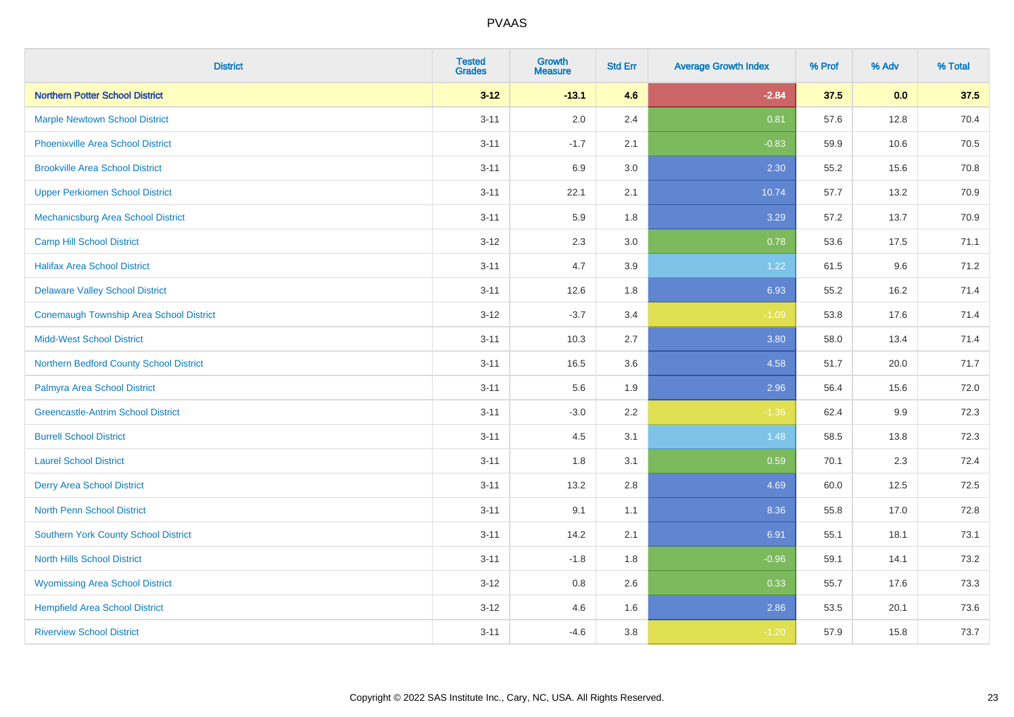| <b>District</b>                                | <b>Tested</b><br><b>Grades</b> | <b>Growth</b><br><b>Measure</b> | <b>Std Err</b> | <b>Average Growth Index</b> | % Prof | % Adv | % Total |
|------------------------------------------------|--------------------------------|---------------------------------|----------------|-----------------------------|--------|-------|---------|
| <b>Northern Potter School District</b>         | $3 - 12$                       | $-13.1$                         | 4.6            | $-2.84$                     | 37.5   | 0.0   | 37.5    |
| <b>Marple Newtown School District</b>          | $3 - 11$                       | 2.0                             | 2.4            | 0.81                        | 57.6   | 12.8  | 70.4    |
| <b>Phoenixville Area School District</b>       | $3 - 11$                       | $-1.7$                          | 2.1            | $-0.83$                     | 59.9   | 10.6  | 70.5    |
| <b>Brookville Area School District</b>         | $3 - 11$                       | 6.9                             | 3.0            | 2.30                        | 55.2   | 15.6  | 70.8    |
| <b>Upper Perkiomen School District</b>         | $3 - 11$                       | 22.1                            | 2.1            | 10.74                       | 57.7   | 13.2  | 70.9    |
| Mechanicsburg Area School District             | $3 - 11$                       | 5.9                             | 1.8            | 3.29                        | 57.2   | 13.7  | 70.9    |
| <b>Camp Hill School District</b>               | $3 - 12$                       | 2.3                             | 3.0            | 0.78                        | 53.6   | 17.5  | 71.1    |
| <b>Halifax Area School District</b>            | $3 - 11$                       | 4.7                             | 3.9            | 1.22                        | 61.5   | 9.6   | 71.2    |
| <b>Delaware Valley School District</b>         | $3 - 11$                       | 12.6                            | 1.8            | 6.93                        | 55.2   | 16.2  | 71.4    |
| <b>Conemaugh Township Area School District</b> | $3 - 12$                       | $-3.7$                          | 3.4            | $-1.09$                     | 53.8   | 17.6  | 71.4    |
| <b>Midd-West School District</b>               | $3 - 11$                       | 10.3                            | 2.7            | 3.80                        | 58.0   | 13.4  | 71.4    |
| Northern Bedford County School District        | $3 - 11$                       | 16.5                            | 3.6            | 4.58                        | 51.7   | 20.0  | 71.7    |
| Palmyra Area School District                   | $3 - 11$                       | 5.6                             | 1.9            | 2.96                        | 56.4   | 15.6  | 72.0    |
| <b>Greencastle-Antrim School District</b>      | $3 - 11$                       | $-3.0$                          | 2.2            | $-1.36$                     | 62.4   | 9.9   | 72.3    |
| <b>Burrell School District</b>                 | $3 - 11$                       | 4.5                             | 3.1            | 1.48                        | 58.5   | 13.8  | 72.3    |
| <b>Laurel School District</b>                  | $3 - 11$                       | 1.8                             | 3.1            | 0.59                        | 70.1   | 2.3   | 72.4    |
| <b>Derry Area School District</b>              | $3 - 11$                       | 13.2                            | 2.8            | 4.69                        | 60.0   | 12.5  | 72.5    |
| <b>North Penn School District</b>              | $3 - 11$                       | 9.1                             | 1.1            | 8.36                        | 55.8   | 17.0  | 72.8    |
| <b>Southern York County School District</b>    | $3 - 11$                       | 14.2                            | 2.1            | 6.91                        | 55.1   | 18.1  | 73.1    |
| <b>North Hills School District</b>             | $3 - 11$                       | $-1.8$                          | 1.8            | $-0.96$                     | 59.1   | 14.1  | 73.2    |
| <b>Wyomissing Area School District</b>         | $3 - 12$                       | 0.8                             | 2.6            | 0.33                        | 55.7   | 17.6  | 73.3    |
| <b>Hempfield Area School District</b>          | $3 - 12$                       | 4.6                             | 1.6            | 2.86                        | 53.5   | 20.1  | 73.6    |
| <b>Riverview School District</b>               | $3 - 11$                       | $-4.6$                          | 3.8            | $-1.20$                     | 57.9   | 15.8  | 73.7    |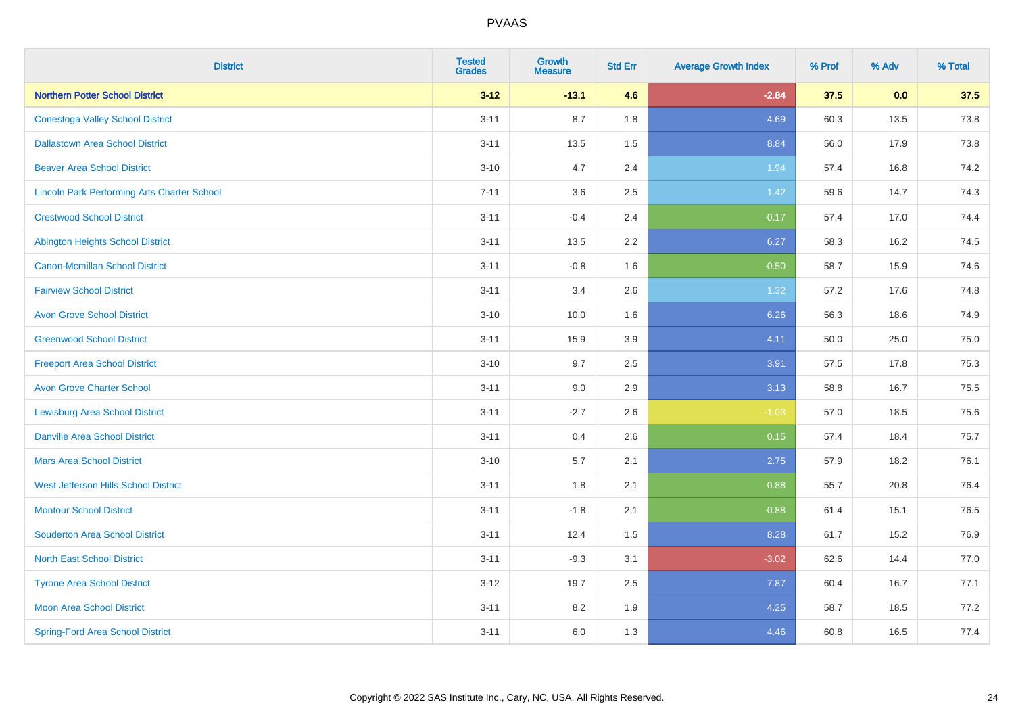| <b>District</b>                                    | <b>Tested</b><br><b>Grades</b> | <b>Growth</b><br><b>Measure</b> | <b>Std Err</b> | <b>Average Growth Index</b> | % Prof | % Adv | % Total |
|----------------------------------------------------|--------------------------------|---------------------------------|----------------|-----------------------------|--------|-------|---------|
| <b>Northern Potter School District</b>             | $3 - 12$                       | $-13.1$                         | 4.6            | $-2.84$                     | 37.5   | 0.0   | 37.5    |
| <b>Conestoga Valley School District</b>            | $3 - 11$                       | 8.7                             | 1.8            | 4.69                        | 60.3   | 13.5  | 73.8    |
| <b>Dallastown Area School District</b>             | $3 - 11$                       | 13.5                            | 1.5            | 8.84                        | 56.0   | 17.9  | 73.8    |
| <b>Beaver Area School District</b>                 | $3 - 10$                       | 4.7                             | 2.4            | 1.94                        | 57.4   | 16.8  | 74.2    |
| <b>Lincoln Park Performing Arts Charter School</b> | $7 - 11$                       | 3.6                             | 2.5            | 1.42                        | 59.6   | 14.7  | 74.3    |
| <b>Crestwood School District</b>                   | $3 - 11$                       | $-0.4$                          | 2.4            | $-0.17$                     | 57.4   | 17.0  | 74.4    |
| <b>Abington Heights School District</b>            | $3 - 11$                       | 13.5                            | 2.2            | 6.27                        | 58.3   | 16.2  | 74.5    |
| <b>Canon-Mcmillan School District</b>              | $3 - 11$                       | $-0.8$                          | 1.6            | $-0.50$                     | 58.7   | 15.9  | 74.6    |
| <b>Fairview School District</b>                    | $3 - 11$                       | 3.4                             | 2.6            | 1.32                        | 57.2   | 17.6  | 74.8    |
| <b>Avon Grove School District</b>                  | $3 - 10$                       | 10.0                            | 1.6            | 6.26                        | 56.3   | 18.6  | 74.9    |
| <b>Greenwood School District</b>                   | $3 - 11$                       | 15.9                            | 3.9            | 4.11                        | 50.0   | 25.0  | 75.0    |
| <b>Freeport Area School District</b>               | $3 - 10$                       | 9.7                             | 2.5            | 3.91                        | 57.5   | 17.8  | 75.3    |
| <b>Avon Grove Charter School</b>                   | $3 - 11$                       | 9.0                             | 2.9            | 3.13                        | 58.8   | 16.7  | 75.5    |
| <b>Lewisburg Area School District</b>              | $3 - 11$                       | $-2.7$                          | 2.6            | $-1.03$                     | 57.0   | 18.5  | 75.6    |
| <b>Danville Area School District</b>               | $3 - 11$                       | 0.4                             | 2.6            | 0.15                        | 57.4   | 18.4  | 75.7    |
| <b>Mars Area School District</b>                   | $3 - 10$                       | 5.7                             | 2.1            | 2.75                        | 57.9   | 18.2  | 76.1    |
| West Jefferson Hills School District               | $3 - 11$                       | 1.8                             | 2.1            | 0.88                        | 55.7   | 20.8  | 76.4    |
| <b>Montour School District</b>                     | $3 - 11$                       | $-1.8$                          | 2.1            | $-0.88$                     | 61.4   | 15.1  | 76.5    |
| <b>Souderton Area School District</b>              | $3 - 11$                       | 12.4                            | 1.5            | 8.28                        | 61.7   | 15.2  | 76.9    |
| <b>North East School District</b>                  | $3 - 11$                       | $-9.3$                          | 3.1            | $-3.02$                     | 62.6   | 14.4  | 77.0    |
| <b>Tyrone Area School District</b>                 | $3 - 12$                       | 19.7                            | 2.5            | 7.87                        | 60.4   | 16.7  | 77.1    |
| <b>Moon Area School District</b>                   | $3 - 11$                       | 8.2                             | 1.9            | 4.25                        | 58.7   | 18.5  | 77.2    |
| <b>Spring-Ford Area School District</b>            | $3 - 11$                       | 6.0                             | 1.3            | 4.46                        | 60.8   | 16.5  | 77.4    |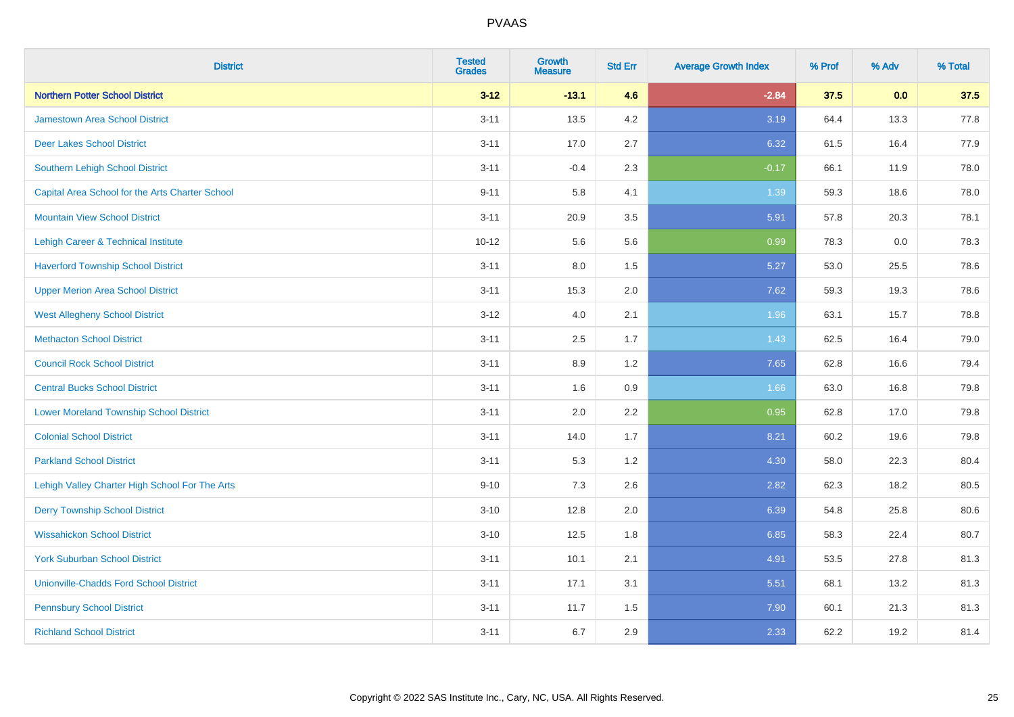| <b>District</b>                                 | <b>Tested</b><br><b>Grades</b> | <b>Growth</b><br><b>Measure</b> | <b>Std Err</b> | <b>Average Growth Index</b> | % Prof | % Adv | % Total |
|-------------------------------------------------|--------------------------------|---------------------------------|----------------|-----------------------------|--------|-------|---------|
| <b>Northern Potter School District</b>          | $3 - 12$                       | $-13.1$                         | 4.6            | $-2.84$                     | 37.5   | 0.0   | 37.5    |
| <b>Jamestown Area School District</b>           | $3 - 11$                       | 13.5                            | $4.2\,$        | 3.19                        | 64.4   | 13.3  | 77.8    |
| <b>Deer Lakes School District</b>               | $3 - 11$                       | 17.0                            | 2.7            | 6.32                        | 61.5   | 16.4  | 77.9    |
| Southern Lehigh School District                 | $3 - 11$                       | $-0.4$                          | 2.3            | $-0.17$                     | 66.1   | 11.9  | 78.0    |
| Capital Area School for the Arts Charter School | $9 - 11$                       | 5.8                             | 4.1            | 1.39                        | 59.3   | 18.6  | 78.0    |
| <b>Mountain View School District</b>            | $3 - 11$                       | 20.9                            | 3.5            | 5.91                        | 57.8   | 20.3  | 78.1    |
| Lehigh Career & Technical Institute             | $10 - 12$                      | 5.6                             | 5.6            | 0.99                        | 78.3   | 0.0   | 78.3    |
| <b>Haverford Township School District</b>       | $3 - 11$                       | 8.0                             | 1.5            | 5.27                        | 53.0   | 25.5  | 78.6    |
| <b>Upper Merion Area School District</b>        | $3 - 11$                       | 15.3                            | 2.0            | 7.62                        | 59.3   | 19.3  | 78.6    |
| <b>West Allegheny School District</b>           | $3 - 12$                       | 4.0                             | 2.1            | 1.96                        | 63.1   | 15.7  | 78.8    |
| <b>Methacton School District</b>                | $3 - 11$                       | 2.5                             | 1.7            | 1.43                        | 62.5   | 16.4  | 79.0    |
| <b>Council Rock School District</b>             | $3 - 11$                       | 8.9                             | 1.2            | 7.65                        | 62.8   | 16.6  | 79.4    |
| <b>Central Bucks School District</b>            | $3 - 11$                       | 1.6                             | 0.9            | 1.66                        | 63.0   | 16.8  | 79.8    |
| <b>Lower Moreland Township School District</b>  | $3 - 11$                       | 2.0                             | 2.2            | 0.95                        | 62.8   | 17.0  | 79.8    |
| <b>Colonial School District</b>                 | $3 - 11$                       | 14.0                            | 1.7            | 8.21                        | 60.2   | 19.6  | 79.8    |
| <b>Parkland School District</b>                 | $3 - 11$                       | 5.3                             | 1.2            | 4.30                        | 58.0   | 22.3  | 80.4    |
| Lehigh Valley Charter High School For The Arts  | $9 - 10$                       | 7.3                             | 2.6            | 2.82                        | 62.3   | 18.2  | 80.5    |
| <b>Derry Township School District</b>           | $3 - 10$                       | 12.8                            | 2.0            | 6.39                        | 54.8   | 25.8  | 80.6    |
| <b>Wissahickon School District</b>              | $3 - 10$                       | 12.5                            | 1.8            | 6.85                        | 58.3   | 22.4  | 80.7    |
| <b>York Suburban School District</b>            | $3 - 11$                       | 10.1                            | 2.1            | 4.91                        | 53.5   | 27.8  | 81.3    |
| <b>Unionville-Chadds Ford School District</b>   | $3 - 11$                       | 17.1                            | 3.1            | 5.51                        | 68.1   | 13.2  | 81.3    |
| <b>Pennsbury School District</b>                | $3 - 11$                       | 11.7                            | 1.5            | 7.90                        | 60.1   | 21.3  | 81.3    |
| <b>Richland School District</b>                 | $3 - 11$                       | 6.7                             | 2.9            | 2.33                        | 62.2   | 19.2  | 81.4    |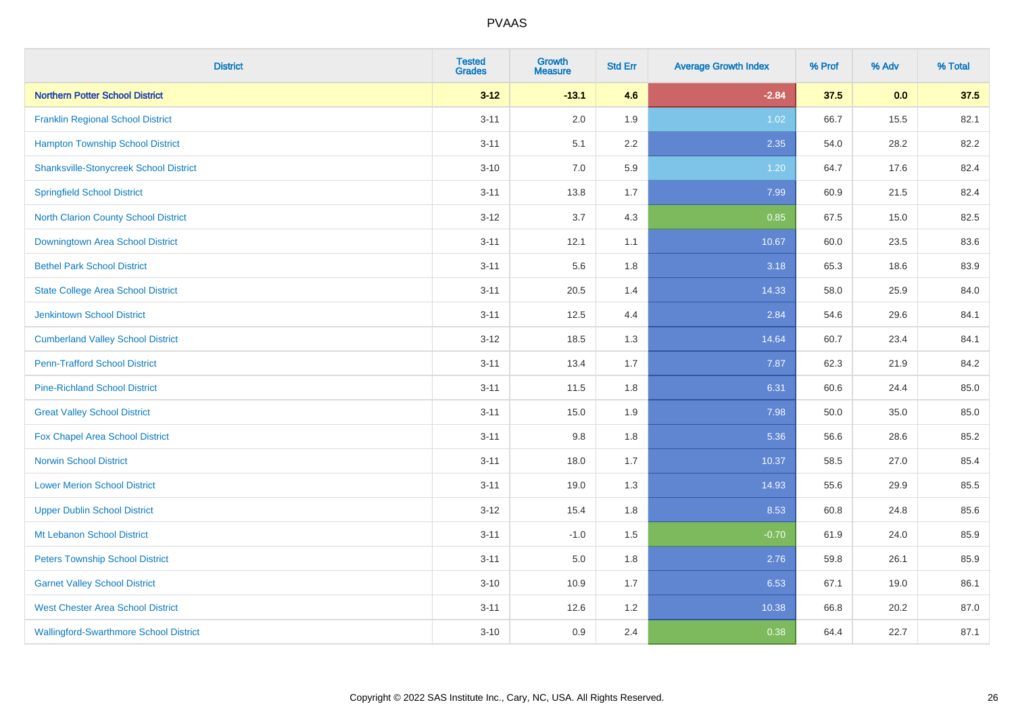| <b>District</b>                               | <b>Tested</b><br><b>Grades</b> | <b>Growth</b><br><b>Measure</b> | <b>Std Err</b> | <b>Average Growth Index</b> | % Prof | % Adv | % Total |
|-----------------------------------------------|--------------------------------|---------------------------------|----------------|-----------------------------|--------|-------|---------|
| <b>Northern Potter School District</b>        | $3 - 12$                       | $-13.1$                         | 4.6            | $-2.84$                     | 37.5   | 0.0   | 37.5    |
| <b>Franklin Regional School District</b>      | $3 - 11$                       | 2.0                             | 1.9            | 1.02                        | 66.7   | 15.5  | 82.1    |
| <b>Hampton Township School District</b>       | $3 - 11$                       | 5.1                             | 2.2            | 2.35                        | 54.0   | 28.2  | 82.2    |
| <b>Shanksville-Stonycreek School District</b> | $3 - 10$                       | 7.0                             | 5.9            | 1.20                        | 64.7   | 17.6  | 82.4    |
| <b>Springfield School District</b>            | $3 - 11$                       | 13.8                            | 1.7            | 7.99                        | 60.9   | 21.5  | 82.4    |
| North Clarion County School District          | $3-12$                         | 3.7                             | 4.3            | 0.85                        | 67.5   | 15.0  | 82.5    |
| Downingtown Area School District              | $3 - 11$                       | 12.1                            | 1.1            | 10.67                       | 60.0   | 23.5  | 83.6    |
| <b>Bethel Park School District</b>            | $3 - 11$                       | 5.6                             | 1.8            | 3.18                        | 65.3   | 18.6  | 83.9    |
| <b>State College Area School District</b>     | $3 - 11$                       | 20.5                            | 1.4            | 14.33                       | 58.0   | 25.9  | 84.0    |
| <b>Jenkintown School District</b>             | $3 - 11$                       | 12.5                            | 4.4            | 2.84                        | 54.6   | 29.6  | 84.1    |
| <b>Cumberland Valley School District</b>      | $3 - 12$                       | 18.5                            | 1.3            | 14.64                       | 60.7   | 23.4  | 84.1    |
| <b>Penn-Trafford School District</b>          | $3 - 11$                       | 13.4                            | 1.7            | 7.87                        | 62.3   | 21.9  | 84.2    |
| <b>Pine-Richland School District</b>          | $3 - 11$                       | 11.5                            | 1.8            | 6.31                        | 60.6   | 24.4  | 85.0    |
| <b>Great Valley School District</b>           | $3 - 11$                       | 15.0                            | 1.9            | 7.98                        | 50.0   | 35.0  | 85.0    |
| Fox Chapel Area School District               | $3 - 11$                       | 9.8                             | 1.8            | 5.36                        | 56.6   | 28.6  | 85.2    |
| <b>Norwin School District</b>                 | $3 - 11$                       | 18.0                            | 1.7            | 10.37                       | 58.5   | 27.0  | 85.4    |
| <b>Lower Merion School District</b>           | $3 - 11$                       | 19.0                            | 1.3            | 14.93                       | 55.6   | 29.9  | 85.5    |
| <b>Upper Dublin School District</b>           | $3-12$                         | 15.4                            | 1.8            | 8.53                        | 60.8   | 24.8  | 85.6    |
| Mt Lebanon School District                    | $3 - 11$                       | $-1.0$                          | 1.5            | $-0.70$                     | 61.9   | 24.0  | 85.9    |
| <b>Peters Township School District</b>        | $3 - 11$                       | 5.0                             | 1.8            | 2.76                        | 59.8   | 26.1  | 85.9    |
| <b>Garnet Valley School District</b>          | $3 - 10$                       | 10.9                            | 1.7            | 6.53                        | 67.1   | 19.0  | 86.1    |
| <b>West Chester Area School District</b>      | $3 - 11$                       | 12.6                            | 1.2            | 10.38                       | 66.8   | 20.2  | 87.0    |
| <b>Wallingford-Swarthmore School District</b> | $3 - 10$                       | 0.9                             | 2.4            | 0.38                        | 64.4   | 22.7  | 87.1    |